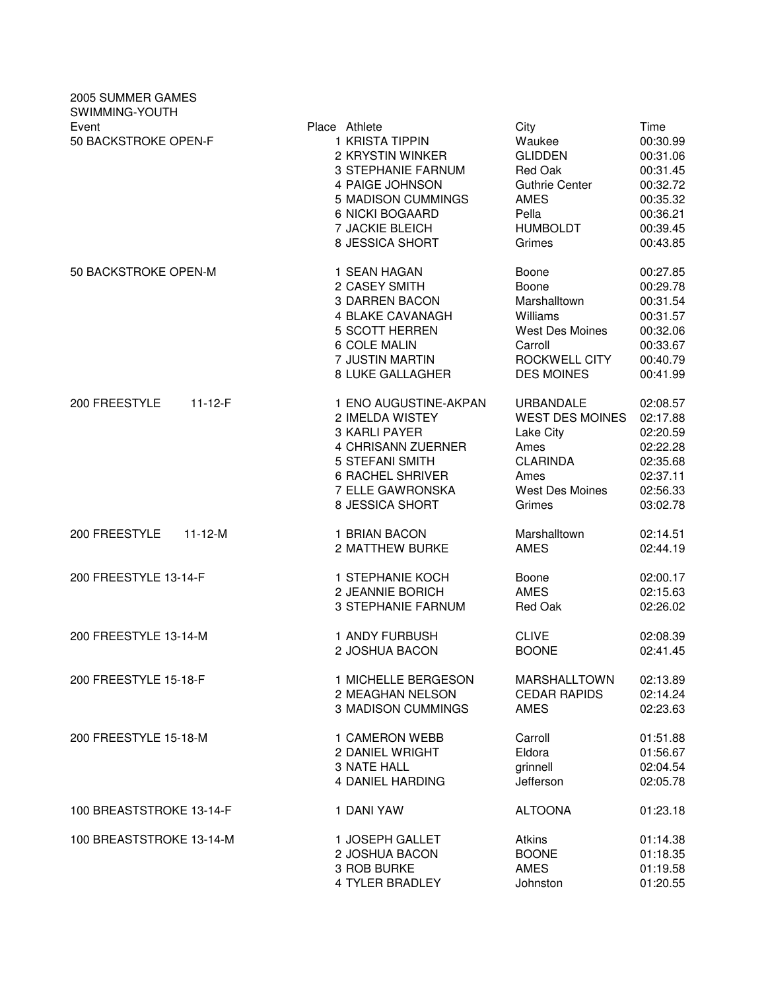| 2005 SUMMER GAMES<br>SWIMMING-YOUTH |                                                                                                                                                                                            |                                                                                                                           |                                                                                                      |
|-------------------------------------|--------------------------------------------------------------------------------------------------------------------------------------------------------------------------------------------|---------------------------------------------------------------------------------------------------------------------------|------------------------------------------------------------------------------------------------------|
| Event<br>50 BACKSTROKE OPEN-F       | Place Athlete<br>1 KRISTA TIPPIN<br>2 KRYSTIN WINKER<br><b>3 STEPHANIE FARNUM</b><br>4 PAIGE JOHNSON<br>5 MADISON CUMMINGS<br><b>6 NICKI BOGAARD</b><br>7 JACKIE BLEICH<br>8 JESSICA SHORT | City<br>Waukee<br><b>GLIDDEN</b><br>Red Oak<br><b>Guthrie Center</b><br><b>AMES</b><br>Pella<br><b>HUMBOLDT</b><br>Grimes | Time<br>00:30.99<br>00:31.06<br>00:31.45<br>00:32.72<br>00:35.32<br>00:36.21<br>00:39.45<br>00:43.85 |
| 50 BACKSTROKE OPEN-M                | 1 SEAN HAGAN                                                                                                                                                                               | Boone                                                                                                                     | 00:27.85                                                                                             |
|                                     | 2 CASEY SMITH                                                                                                                                                                              | Boone                                                                                                                     | 00:29.78                                                                                             |
|                                     | 3 DARREN BACON                                                                                                                                                                             | Marshalltown                                                                                                              | 00:31.54                                                                                             |
|                                     | 4 BLAKE CAVANAGH                                                                                                                                                                           | Williams                                                                                                                  | 00:31.57                                                                                             |
|                                     | 5 SCOTT HERREN                                                                                                                                                                             | <b>West Des Moines</b>                                                                                                    | 00:32.06                                                                                             |
|                                     | 6 COLE MALIN                                                                                                                                                                               | Carroll                                                                                                                   | 00:33.67                                                                                             |
|                                     | 7 JUSTIN MARTIN                                                                                                                                                                            | ROCKWELL CITY                                                                                                             | 00:40.79                                                                                             |
|                                     | <b>8 LUKE GALLAGHER</b>                                                                                                                                                                    | <b>DES MOINES</b>                                                                                                         | 00:41.99                                                                                             |
| 200 FREESTYLE<br>$11 - 12 - F$      | 1 ENO AUGUSTINE-AKPAN<br>2 IMELDA WISTEY<br>3 KARLI PAYER<br>4 CHRISANN ZUERNER<br>5 STEFANI SMITH<br><b>6 RACHEL SHRIVER</b><br>7 ELLE GAWRONSKA<br>8 JESSICA SHORT                       | URBANDALE<br><b>WEST DES MOINES</b><br>Lake City<br>Ames<br><b>CLARINDA</b><br>Ames<br>West Des Moines<br>Grimes          | 02:08.57<br>02:17.88<br>02:20.59<br>02:22.28<br>02:35.68<br>02:37.11<br>02:56.33<br>03:02.78         |
| 200 FREESTYLE                       | 1 BRIAN BACON                                                                                                                                                                              | Marshalltown                                                                                                              | 02:14.51                                                                                             |
| $11 - 12 - M$                       | 2 MATTHEW BURKE                                                                                                                                                                            | <b>AMES</b>                                                                                                               | 02:44.19                                                                                             |
| 200 FREESTYLE 13-14-F               | 1 STEPHANIE KOCH                                                                                                                                                                           | Boone                                                                                                                     | 02:00.17                                                                                             |
|                                     | 2 JEANNIE BORICH                                                                                                                                                                           | <b>AMES</b>                                                                                                               | 02:15.63                                                                                             |
|                                     | <b>3 STEPHANIE FARNUM</b>                                                                                                                                                                  | Red Oak                                                                                                                   | 02:26.02                                                                                             |
| 200 FREESTYLE 13-14-M               | 1 ANDY FURBUSH                                                                                                                                                                             | <b>CLIVE</b>                                                                                                              | 02:08.39                                                                                             |
|                                     | 2 JOSHUA BACON                                                                                                                                                                             | <b>BOONE</b>                                                                                                              | 02:41.45                                                                                             |
| 200 FREESTYLE 15-18-F               | 1 MICHELLE BERGESON                                                                                                                                                                        | <b>MARSHALLTOWN</b>                                                                                                       | 02:13.89                                                                                             |
|                                     | 2 MEAGHAN NELSON                                                                                                                                                                           | <b>CEDAR RAPIDS</b>                                                                                                       | 02:14.24                                                                                             |
|                                     | 3 MADISON CUMMINGS                                                                                                                                                                         | <b>AMES</b>                                                                                                               | 02:23.63                                                                                             |
| 200 FREESTYLE 15-18-M               | 1 CAMERON WEBB                                                                                                                                                                             | Carroll                                                                                                                   | 01:51.88                                                                                             |
|                                     | 2 DANIEL WRIGHT                                                                                                                                                                            | Eldora                                                                                                                    | 01:56.67                                                                                             |
|                                     | 3 NATE HALL                                                                                                                                                                                | grinnell                                                                                                                  | 02:04.54                                                                                             |
|                                     | 4 DANIEL HARDING                                                                                                                                                                           | Jefferson                                                                                                                 | 02:05.78                                                                                             |
| 100 BREASTSTROKE 13-14-F            | 1 DANI YAW                                                                                                                                                                                 | <b>ALTOONA</b>                                                                                                            | 01:23.18                                                                                             |
| 100 BREASTSTROKE 13-14-M            | 1 JOSEPH GALLET                                                                                                                                                                            | <b>Atkins</b>                                                                                                             | 01:14.38                                                                                             |
|                                     | 2 JOSHUA BACON                                                                                                                                                                             | <b>BOONE</b>                                                                                                              | 01:18.35                                                                                             |
|                                     | 3 ROB BURKE                                                                                                                                                                                | <b>AMES</b>                                                                                                               | 01:19.58                                                                                             |
|                                     | <b>4 TYLER BRADLEY</b>                                                                                                                                                                     | Johnston                                                                                                                  | 01:20.55                                                                                             |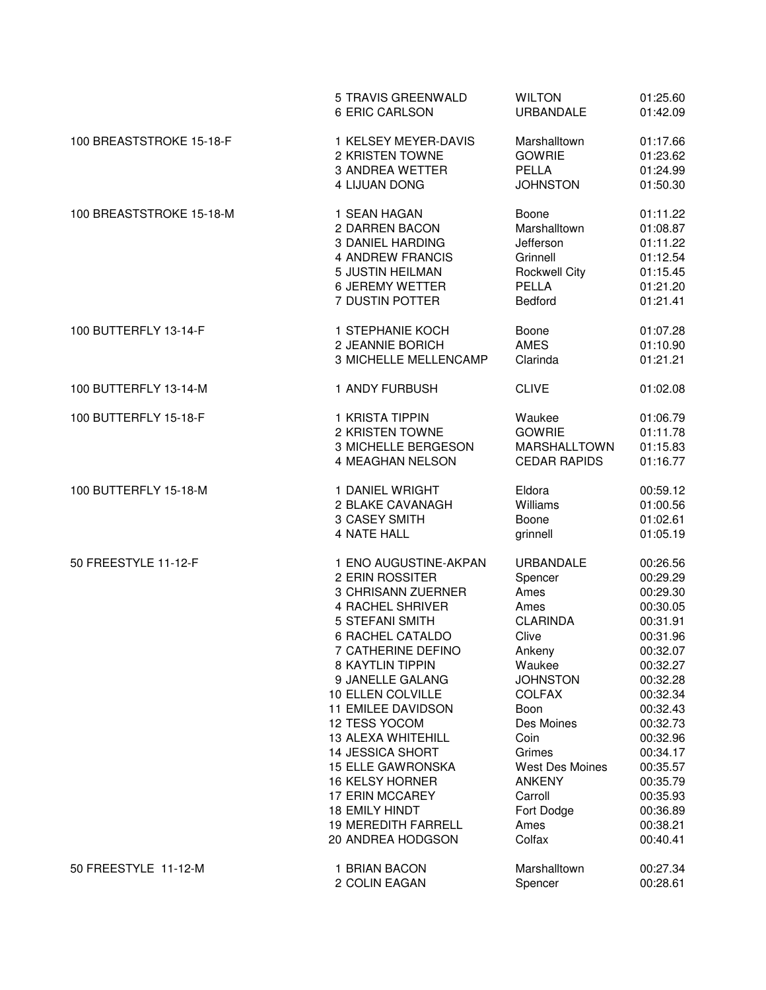|                          | 5 TRAVIS GREENWALD<br><b>6 ERIC CARLSON</b>        | <b>WILTON</b><br><b>URBANDALE</b>       | 01:25.60<br>01:42.09 |
|--------------------------|----------------------------------------------------|-----------------------------------------|----------------------|
| 100 BREASTSTROKE 15-18-F | 1 KELSEY MEYER-DAVIS                               | Marshalltown                            | 01:17.66             |
|                          | 2 KRISTEN TOWNE                                    | <b>GOWRIE</b>                           | 01:23.62             |
|                          | <b>3 ANDREA WETTER</b>                             | <b>PELLA</b>                            | 01:24.99             |
|                          | <b>4 LIJUAN DONG</b>                               | <b>JOHNSTON</b>                         | 01:50.30             |
| 100 BREASTSTROKE 15-18-M | 1 SEAN HAGAN                                       | Boone                                   | 01:11.22             |
|                          | 2 DARREN BACON<br><b>3 DANIEL HARDING</b>          | Marshalltown<br>Jefferson               | 01:08.87<br>01:11.22 |
|                          | 4 ANDREW FRANCIS                                   | Grinnell                                | 01:12.54             |
|                          | 5 JUSTIN HEILMAN                                   | <b>Rockwell City</b>                    | 01:15.45             |
|                          | <b>6 JEREMY WETTER</b>                             | <b>PELLA</b>                            | 01:21.20             |
|                          | 7 DUSTIN POTTER                                    | <b>Bedford</b>                          | 01:21.41             |
| 100 BUTTERFLY 13-14-F    | 1 STEPHANIE KOCH                                   | Boone                                   | 01:07.28             |
|                          | 2 JEANNIE BORICH                                   | <b>AMES</b>                             | 01:10.90             |
|                          | 3 MICHELLE MELLENCAMP                              | Clarinda                                | 01:21.21             |
| 100 BUTTERFLY 13-14-M    | 1 ANDY FURBUSH                                     | <b>CLIVE</b>                            | 01:02.08             |
| 100 BUTTERFLY 15-18-F    | 1 KRISTA TIPPIN                                    | Waukee                                  | 01:06.79             |
|                          | 2 KRISTEN TOWNE                                    | <b>GOWRIE</b>                           | 01:11.78             |
|                          | 3 MICHELLE BERGESON                                | <b>MARSHALLTOWN</b>                     | 01:15.83             |
|                          | 4 MEAGHAN NELSON                                   | <b>CEDAR RAPIDS</b>                     | 01:16.77             |
| 100 BUTTERFLY 15-18-M    | 1 DANIEL WRIGHT                                    | Eldora                                  | 00:59.12             |
|                          | 2 BLAKE CAVANAGH<br>3 CASEY SMITH                  | Williams<br>Boone                       | 01:00.56<br>01:02.61 |
|                          | 4 NATE HALL                                        | grinnell                                | 01:05.19             |
| 50 FREESTYLE 11-12-F     | 1 ENO AUGUSTINE-AKPAN                              | <b>URBANDALE</b>                        | 00:26.56             |
|                          | 2 ERIN ROSSITER                                    | Spencer                                 | 00:29.29             |
|                          | 3 CHRISANN ZUERNER                                 | Ames                                    | 00:29.30             |
|                          | <b>4 RACHEL SHRIVER</b>                            | Ames                                    | 00:30.05             |
|                          | 5 STEFANI SMITH                                    | <b>CLARINDA</b>                         | 00:31.91             |
|                          | <b>6 RACHEL CATALDO</b>                            | Clive                                   | 00:31.96             |
|                          | 7 CATHERINE DEFINO                                 | Ankeny                                  | 00:32.07             |
|                          | 8 KAYTLIN TIPPIN                                   | Waukee                                  | 00:32.27             |
|                          | 9 JANELLE GALANG                                   | <b>JOHNSTON</b>                         | 00:32.28             |
|                          | 10 ELLEN COLVILLE                                  | <b>COLFAX</b>                           | 00:32.34             |
|                          | 11 EMILEE DAVIDSON                                 | <b>Boon</b>                             | 00:32.43             |
|                          | 12 TESS YOCOM                                      | Des Moines                              | 00:32.73             |
|                          | 13 ALEXA WHITEHILL                                 | Coin                                    | 00:32.96             |
|                          | 14 JESSICA SHORT                                   | Grimes                                  | 00:34.17             |
|                          | <b>15 ELLE GAWRONSKA</b><br><b>16 KELSY HORNER</b> | <b>West Des Moines</b><br><b>ANKENY</b> | 00:35.57<br>00:35.79 |
|                          | 17 ERIN MCCAREY                                    | Carroll                                 | 00:35.93             |
|                          | <b>18 EMILY HINDT</b>                              | Fort Dodge                              | 00:36.89             |
|                          | <b>19 MEREDITH FARRELL</b>                         | Ames                                    | 00:38.21             |
|                          | 20 ANDREA HODGSON                                  | Colfax                                  | 00:40.41             |
| 50 FREESTYLE 11-12-M     | 1 BRIAN BACON                                      | Marshalltown                            | 00:27.34             |
|                          | 2 COLIN EAGAN                                      | Spencer                                 | 00:28.61             |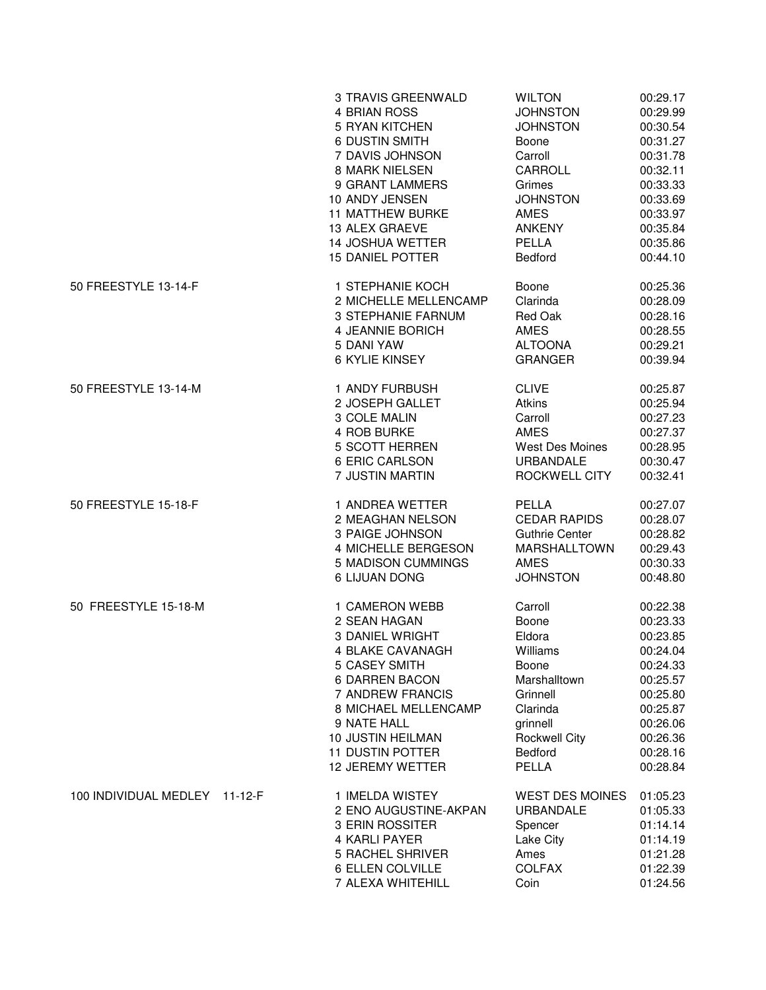|                               | 3 TRAVIS GREENWALD<br>4 BRIAN ROSS<br><b>5 RYAN KITCHEN</b><br><b>6 DUSTIN SMITH</b><br>7 DAVIS JOHNSON<br>8 MARK NIELSEN<br>9 GRANT LAMMERS<br>10 ANDY JENSEN<br><b>11 MATTHEW BURKE</b><br>13 ALEX GRAEVE<br><b>14 JOSHUA WETTER</b><br><b>15 DANIEL POTTER</b> | <b>WILTON</b><br><b>JOHNSTON</b><br><b>JOHNSTON</b><br>Boone<br>Carroll<br>CARROLL<br>Grimes<br><b>JOHNSTON</b><br><b>AMES</b><br><b>ANKENY</b><br>PELLA<br>Bedford | 00:29.17<br>00:29.99<br>00:30.54<br>00:31.27<br>00:31.78<br>00:32.11<br>00:33.33<br>00:33.69<br>00:33.97<br>00:35.84<br>00:35.86<br>00:44.10 |
|-------------------------------|-------------------------------------------------------------------------------------------------------------------------------------------------------------------------------------------------------------------------------------------------------------------|---------------------------------------------------------------------------------------------------------------------------------------------------------------------|----------------------------------------------------------------------------------------------------------------------------------------------|
| 50 FREESTYLE 13-14-F          | 1 STEPHANIE KOCH<br>2 MICHELLE MELLENCAMP<br>3 STEPHANIE FARNUM<br>4 JEANNIE BORICH<br>5 DANI YAW<br><b>6 KYLIE KINSEY</b>                                                                                                                                        | Boone<br>Clarinda<br>Red Oak<br>AMES<br><b>ALTOONA</b><br><b>GRANGER</b>                                                                                            | 00:25.36<br>00:28.09<br>00:28.16<br>00:28.55<br>00:29.21<br>00:39.94                                                                         |
| 50 FREESTYLE 13-14-M          | 1 ANDY FURBUSH<br>2 JOSEPH GALLET<br>3 COLE MALIN<br>4 ROB BURKE<br><b>5 SCOTT HERREN</b><br>6 ERIC CARLSON<br>7 JUSTIN MARTIN                                                                                                                                    | <b>CLIVE</b><br>Atkins<br>Carroll<br><b>AMES</b><br><b>West Des Moines</b><br><b>URBANDALE</b><br>ROCKWELL CITY                                                     | 00:25.87<br>00:25.94<br>00:27.23<br>00:27.37<br>00:28.95<br>00:30.47<br>00:32.41                                                             |
| 50 FREESTYLE 15-18-F          | 1 ANDREA WETTER<br>2 MEAGHAN NELSON<br>3 PAIGE JOHNSON<br>4 MICHELLE BERGESON<br>5 MADISON CUMMINGS<br>6 LIJUAN DONG                                                                                                                                              | <b>PELLA</b><br><b>CEDAR RAPIDS</b><br><b>Guthrie Center</b><br><b>MARSHALLTOWN</b><br><b>AMES</b><br><b>JOHNSTON</b>                                               | 00:27.07<br>00:28.07<br>00:28.82<br>00:29.43<br>00:30.33<br>00:48.80                                                                         |
| 50 FREESTYLE 15-18-M          | 1 CAMERON WEBB<br>2 SEAN HAGAN<br><b>3 DANIEL WRIGHT</b><br>4 BLAKE CAVANAGH<br>5 CASEY SMITH<br>6 DARREN BACON<br>7 ANDREW FRANCIS<br>8 MICHAEL MELLENCAMP<br>9 NATE HALL<br>10 JUSTIN HEILMAN<br><b>11 DUSTIN POTTER</b><br><b>12 JEREMY WETTER</b>             | Carroll<br>Boone<br>Eldora<br>Williams<br>Boone<br>Marshalltown<br>Grinnell<br>Clarinda<br>grinnell<br><b>Rockwell City</b><br><b>Bedford</b><br>PELLA              | 00:22.38<br>00:23.33<br>00:23.85<br>00:24.04<br>00:24.33<br>00:25.57<br>00:25.80<br>00:25.87<br>00:26.06<br>00:26.36<br>00:28.16<br>00:28.84 |
| 100 INDIVIDUAL MEDLEY 11-12-F | 1 IMELDA WISTEY<br>2 ENO AUGUSTINE-AKPAN<br>3 ERIN ROSSITER<br>4 KARLI PAYER<br><b>5 RACHEL SHRIVER</b><br>6 ELLEN COLVILLE<br>7 ALEXA WHITEHILL                                                                                                                  | <b>WEST DES MOINES</b><br>URBANDALE<br>Spencer<br>Lake City<br>Ames<br><b>COLFAX</b><br>Coin                                                                        | 01:05.23<br>01:05.33<br>01:14.14<br>01:14.19<br>01:21.28<br>01:22.39<br>01:24.56                                                             |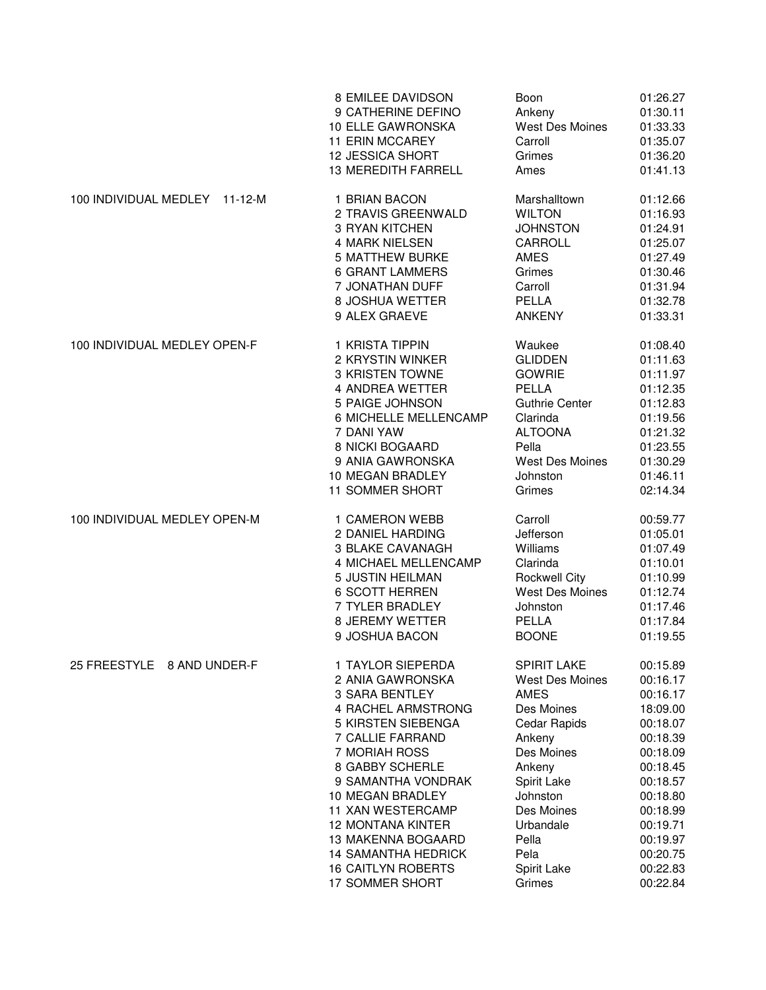|                                        | 8 EMILEE DAVIDSON                                                                                                                                                                         | Boon                                                                                                                      | 01:26.27                                                                                                 |
|----------------------------------------|-------------------------------------------------------------------------------------------------------------------------------------------------------------------------------------------|---------------------------------------------------------------------------------------------------------------------------|----------------------------------------------------------------------------------------------------------|
|                                        | 9 CATHERINE DEFINO                                                                                                                                                                        | Ankeny                                                                                                                    | 01:30.11                                                                                                 |
|                                        | 10 ELLE GAWRONSKA                                                                                                                                                                         | West Des Moines                                                                                                           | 01:33.33                                                                                                 |
|                                        | 11 ERIN MCCAREY                                                                                                                                                                           | Carroll                                                                                                                   | 01:35.07                                                                                                 |
|                                        | 12 JESSICA SHORT                                                                                                                                                                          | Grimes                                                                                                                    | 01:36.20                                                                                                 |
|                                        | <b>13 MEREDITH FARRELL</b>                                                                                                                                                                | Ames                                                                                                                      | 01:41.13                                                                                                 |
| 100 INDIVIDUAL MEDLEY<br>$11 - 12 - M$ | 1 BRIAN BACON<br>2 TRAVIS GREENWALD<br>3 RYAN KITCHEN<br><b>4 MARK NIELSEN</b><br><b>5 MATTHEW BURKE</b><br><b>6 GRANT LAMMERS</b><br>7 JONATHAN DUFF<br>8 JOSHUA WETTER<br>9 ALEX GRAEVE | Marshalltown<br><b>WILTON</b><br><b>JOHNSTON</b><br>CARROLL<br><b>AMES</b><br>Grimes<br>Carroll<br>PELLA<br><b>ANKENY</b> | 01:12.66<br>01:16.93<br>01:24.91<br>01:25.07<br>01:27.49<br>01:30.46<br>01:31.94<br>01:32.78<br>01:33.31 |
| 100 INDIVIDUAL MEDLEY OPEN-F           | 1 KRISTA TIPPIN                                                                                                                                                                           | Waukee                                                                                                                    | 01:08.40                                                                                                 |
|                                        | 2 KRYSTIN WINKER                                                                                                                                                                          | <b>GLIDDEN</b>                                                                                                            | 01:11.63                                                                                                 |
|                                        | 3 KRISTEN TOWNE                                                                                                                                                                           | <b>GOWRIE</b>                                                                                                             | 01:11.97                                                                                                 |
|                                        | 4 ANDREA WETTER                                                                                                                                                                           | PELLA                                                                                                                     | 01:12.35                                                                                                 |
|                                        | 5 PAIGE JOHNSON                                                                                                                                                                           | <b>Guthrie Center</b>                                                                                                     | 01:12.83                                                                                                 |
|                                        | 6 MICHELLE MELLENCAMP                                                                                                                                                                     | Clarinda                                                                                                                  | 01:19.56                                                                                                 |
|                                        | 7 DANI YAW                                                                                                                                                                                | <b>ALTOONA</b>                                                                                                            | 01:21.32                                                                                                 |
|                                        | 8 NICKI BOGAARD                                                                                                                                                                           | Pella                                                                                                                     | 01:23.55                                                                                                 |
|                                        | 9 ANIA GAWRONSKA                                                                                                                                                                          | <b>West Des Moines</b>                                                                                                    | 01:30.29                                                                                                 |
|                                        | 10 MEGAN BRADLEY                                                                                                                                                                          | Johnston                                                                                                                  | 01:46.11                                                                                                 |
|                                        | <b>11 SOMMER SHORT</b>                                                                                                                                                                    | Grimes                                                                                                                    | 02:14.34                                                                                                 |
| 100 INDIVIDUAL MEDLEY OPEN-M           | 1 CAMERON WEBB                                                                                                                                                                            | Carroll                                                                                                                   | 00:59.77                                                                                                 |
|                                        | 2 DANIEL HARDING                                                                                                                                                                          | Jefferson                                                                                                                 | 01:05.01                                                                                                 |
|                                        | <b>3 BLAKE CAVANAGH</b>                                                                                                                                                                   | Williams                                                                                                                  | 01:07.49                                                                                                 |
|                                        | 4 MICHAEL MELLENCAMP                                                                                                                                                                      | Clarinda                                                                                                                  | 01:10.01                                                                                                 |
|                                        | 5 JUSTIN HEILMAN                                                                                                                                                                          | <b>Rockwell City</b>                                                                                                      | 01:10.99                                                                                                 |
|                                        | <b>6 SCOTT HERREN</b>                                                                                                                                                                     | West Des Moines                                                                                                           | 01:12.74                                                                                                 |
|                                        | 7 TYLER BRADLEY                                                                                                                                                                           | Johnston                                                                                                                  | 01:17.46                                                                                                 |
|                                        | 8 JEREMY WETTER                                                                                                                                                                           | <b>PELLA</b>                                                                                                              | 01:17.84                                                                                                 |
|                                        | 9 JOSHUA BACON                                                                                                                                                                            | <b>BOONE</b>                                                                                                              | 01:19.55                                                                                                 |
| 25 FREESTYLE 8 AND UNDER-F             | 1 TAYLOR SIEPERDA                                                                                                                                                                         | <b>SPIRIT LAKE</b>                                                                                                        | 00:15.89                                                                                                 |
|                                        | 2 ANIA GAWRONSKA                                                                                                                                                                          | <b>West Des Moines</b>                                                                                                    | 00:16.17                                                                                                 |
|                                        | 3 SARA BENTLEY                                                                                                                                                                            | <b>AMES</b>                                                                                                               | 00:16.17                                                                                                 |
|                                        | 4 RACHEL ARMSTRONG                                                                                                                                                                        | Des Moines                                                                                                                | 18:09.00                                                                                                 |
|                                        | 5 KIRSTEN SIEBENGA                                                                                                                                                                        | Cedar Rapids                                                                                                              | 00:18.07                                                                                                 |
|                                        | 7 CALLIE FARRAND                                                                                                                                                                          | Ankeny                                                                                                                    | 00:18.39                                                                                                 |
|                                        | 7 MORIAH ROSS                                                                                                                                                                             | Des Moines                                                                                                                | 00:18.09                                                                                                 |
|                                        | 8 GABBY SCHERLE                                                                                                                                                                           | Ankeny                                                                                                                    | 00:18.45                                                                                                 |
|                                        | 9 SAMANTHA VONDRAK                                                                                                                                                                        | Spirit Lake                                                                                                               | 00:18.57                                                                                                 |
|                                        | 10 MEGAN BRADLEY                                                                                                                                                                          | Johnston                                                                                                                  | 00:18.80                                                                                                 |
|                                        | <b>11 XAN WESTERCAMP</b>                                                                                                                                                                  | Des Moines                                                                                                                | 00:18.99                                                                                                 |
|                                        | <b>12 MONTANA KINTER</b>                                                                                                                                                                  | Urbandale                                                                                                                 | 00:19.71                                                                                                 |
|                                        | <b>13 MAKENNA BOGAARD</b>                                                                                                                                                                 | Pella                                                                                                                     | 00:19.97                                                                                                 |
|                                        | <b>14 SAMANTHA HEDRICK</b>                                                                                                                                                                | Pela                                                                                                                      | 00:20.75                                                                                                 |
|                                        | <b>16 CAITLYN ROBERTS</b>                                                                                                                                                                 | Spirit Lake                                                                                                               | 00:22.83                                                                                                 |
|                                        | 17 SOMMER SHORT                                                                                                                                                                           | Grimes                                                                                                                    | 00:22.84                                                                                                 |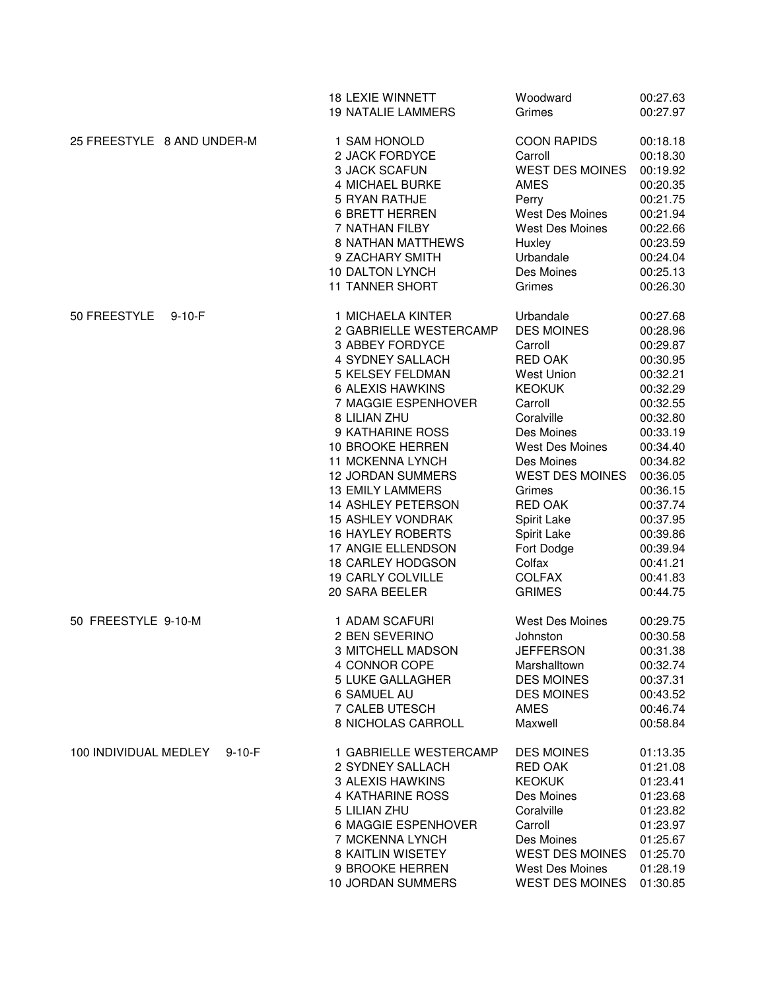|                              |              | <b>18 LEXIE WINNETT</b><br><b>19 NATALIE LAMMERS</b>                                                                                                                                                                                                                                                                                                                                                                                                        | Woodward<br>Grimes                                                                                                                                                                                                                                                                                                      | 00:27.63<br>00:27.97                                                                                                                                                                                                                         |
|------------------------------|--------------|-------------------------------------------------------------------------------------------------------------------------------------------------------------------------------------------------------------------------------------------------------------------------------------------------------------------------------------------------------------------------------------------------------------------------------------------------------------|-------------------------------------------------------------------------------------------------------------------------------------------------------------------------------------------------------------------------------------------------------------------------------------------------------------------------|----------------------------------------------------------------------------------------------------------------------------------------------------------------------------------------------------------------------------------------------|
| 25 FREESTYLE 8 AND UNDER-M   |              | 1 SAM HONOLD<br>2 JACK FORDYCE<br>3 JACK SCAFUN<br><b>4 MICHAEL BURKE</b><br>5 RYAN RATHJE<br><b>6 BRETT HERREN</b><br>7 NATHAN FILBY<br><b>8 NATHAN MATTHEWS</b><br>9 ZACHARY SMITH                                                                                                                                                                                                                                                                        | <b>COON RAPIDS</b><br>Carroll<br><b>WEST DES MOINES</b><br><b>AMES</b><br>Perry<br>West Des Moines<br><b>West Des Moines</b><br>Huxley<br>Urbandale                                                                                                                                                                     | 00:18.18<br>00:18.30<br>00:19.92<br>00:20.35<br>00:21.75<br>00:21.94<br>00:22.66<br>00:23.59<br>00:24.04                                                                                                                                     |
|                              |              | 10 DALTON LYNCH<br><b>11 TANNER SHORT</b>                                                                                                                                                                                                                                                                                                                                                                                                                   | Des Moines<br>Grimes                                                                                                                                                                                                                                                                                                    | 00:25.13<br>00:26.30                                                                                                                                                                                                                         |
| 50 FREESTYLE<br>$9 - 10 - F$ |              | 1 MICHAELA KINTER<br>2 GABRIELLE WESTERCAMP<br>3 ABBEY FORDYCE<br>4 SYDNEY SALLACH<br><b>5 KELSEY FELDMAN</b><br>6 ALEXIS HAWKINS<br>7 MAGGIE ESPENHOVER<br>8 LILIAN ZHU<br>9 KATHARINE ROSS<br>10 BROOKE HERREN<br>11 MCKENNA LYNCH<br><b>12 JORDAN SUMMERS</b><br><b>13 EMILY LAMMERS</b><br>14 ASHLEY PETERSON<br><b>15 ASHLEY VONDRAK</b><br><b>16 HAYLEY ROBERTS</b><br>17 ANGIE ELLENDSON<br>18 CARLEY HODGSON<br>19 CARLY COLVILLE<br>20 SARA BEELER | Urbandale<br><b>DES MOINES</b><br>Carroll<br><b>RED OAK</b><br>West Union<br><b>KEOKUK</b><br>Carroll<br>Coralville<br>Des Moines<br><b>West Des Moines</b><br>Des Moines<br><b>WEST DES MOINES</b><br>Grimes<br><b>RED OAK</b><br>Spirit Lake<br>Spirit Lake<br>Fort Dodge<br>Colfax<br><b>COLFAX</b><br><b>GRIMES</b> | 00:27.68<br>00:28.96<br>00:29.87<br>00:30.95<br>00:32.21<br>00:32.29<br>00:32.55<br>00:32.80<br>00:33.19<br>00:34.40<br>00:34.82<br>00:36.05<br>00:36.15<br>00:37.74<br>00:37.95<br>00:39.86<br>00:39.94<br>00:41.21<br>00:41.83<br>00:44.75 |
| 50 FREESTYLE 9-10-M          |              | 1 ADAM SCAFURI<br>2 BEN SEVERINO<br>3 MITCHELL MADSON<br>4 CONNOR COPE<br><b>5 LUKE GALLAGHER</b><br><b>6 SAMUEL AU</b><br>7 CALEB UTESCH<br>8 NICHOLAS CARROLL                                                                                                                                                                                                                                                                                             | <b>West Des Moines</b><br>Johnston<br><b>JEFFERSON</b><br>Marshalltown<br><b>DES MOINES</b><br><b>DES MOINES</b><br><b>AMES</b><br>Maxwell                                                                                                                                                                              | 00:29.75<br>00:30.58<br>00:31.38<br>00:32.74<br>00:37.31<br>00:43.52<br>00:46.74<br>00:58.84                                                                                                                                                 |
| 100 INDIVIDUAL MEDLEY        | $9 - 10 - F$ | 1 GABRIELLE WESTERCAMP<br>2 SYDNEY SALLACH<br><b>3 ALEXIS HAWKINS</b><br><b>4 KATHARINE ROSS</b><br>5 LILIAN ZHU<br>6 MAGGIE ESPENHOVER<br>7 MCKENNA LYNCH<br><b>8 KAITLIN WISETEY</b><br>9 BROOKE HERREN<br>10 JORDAN SUMMERS                                                                                                                                                                                                                              | <b>DES MOINES</b><br>RED OAK<br><b>KEOKUK</b><br>Des Moines<br>Coralville<br>Carroll<br>Des Moines<br><b>WEST DES MOINES</b><br><b>West Des Moines</b><br><b>WEST DES MOINES</b>                                                                                                                                        | 01:13.35<br>01:21.08<br>01:23.41<br>01:23.68<br>01:23.82<br>01:23.97<br>01:25.67<br>01:25.70<br>01:28.19<br>01:30.85                                                                                                                         |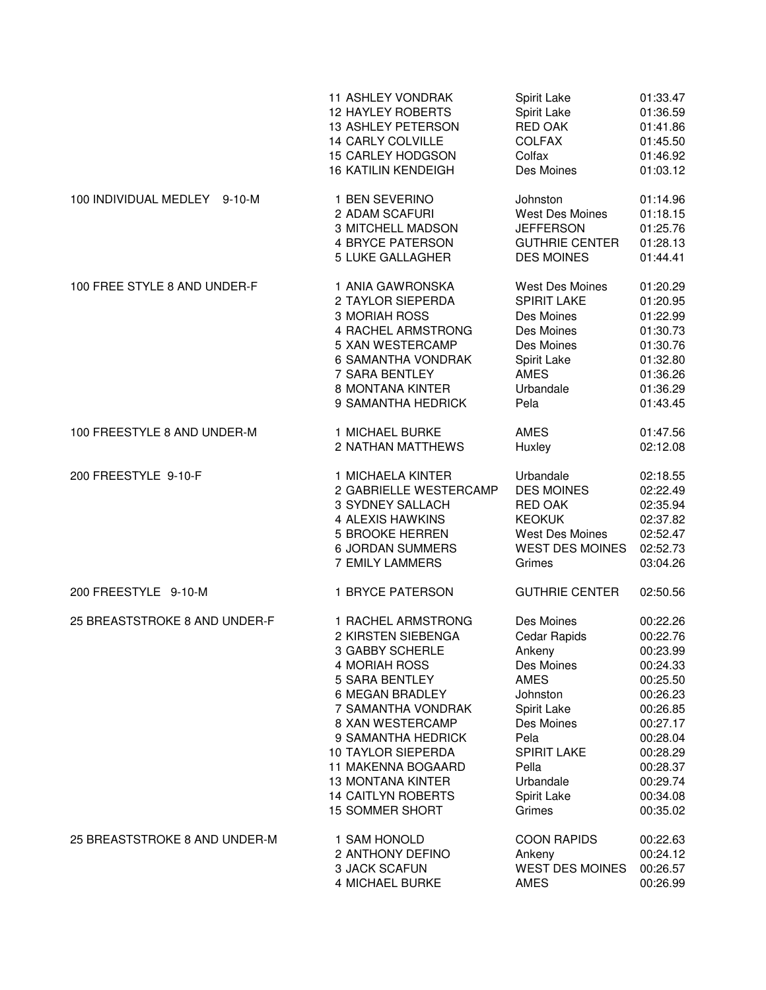|                               | <b>11 ASHLEY VONDRAK</b>   | Spirit Lake            | 01:33.47 |
|-------------------------------|----------------------------|------------------------|----------|
|                               | <b>12 HAYLEY ROBERTS</b>   | Spirit Lake            | 01:36.59 |
|                               | <b>13 ASHLEY PETERSON</b>  | RED OAK                | 01:41.86 |
|                               | 14 CARLY COLVILLE          | <b>COLFAX</b>          | 01:45.50 |
|                               | <b>15 CARLEY HODGSON</b>   | Colfax                 | 01:46.92 |
|                               | <b>16 KATILIN KENDEIGH</b> | Des Moines             | 01:03.12 |
| 100 INDIVIDUAL MEDLEY 9-10-M  | 1 BEN SEVERINO             | Johnston               | 01:14.96 |
|                               | 2 ADAM SCAFURI             | <b>West Des Moines</b> | 01:18.15 |
|                               | <b>3 MITCHELL MADSON</b>   | <b>JEFFERSON</b>       | 01:25.76 |
|                               | <b>4 BRYCE PATERSON</b>    | <b>GUTHRIE CENTER</b>  | 01:28.13 |
|                               | 5 LUKE GALLAGHER           | <b>DES MOINES</b>      | 01:44.41 |
| 100 FREE STYLE 8 AND UNDER-F  | 1 ANIA GAWRONSKA           | <b>West Des Moines</b> | 01:20.29 |
|                               | 2 TAYLOR SIEPERDA          | <b>SPIRIT LAKE</b>     | 01:20.95 |
|                               | 3 MORIAH ROSS              | Des Moines             | 01:22.99 |
|                               | 4 RACHEL ARMSTRONG         | Des Moines             | 01:30.73 |
|                               | 5 XAN WESTERCAMP           | Des Moines             | 01:30.76 |
|                               | <b>6 SAMANTHA VONDRAK</b>  | Spirit Lake            | 01:32.80 |
|                               | 7 SARA BENTLEY             | <b>AMES</b>            | 01:36.26 |
|                               | 8 MONTANA KINTER           | Urbandale              | 01:36.29 |
|                               | 9 SAMANTHA HEDRICK         | Pela                   | 01:43.45 |
| 100 FREESTYLE 8 AND UNDER-M   | 1 MICHAEL BURKE            | AMES                   | 01:47.56 |
|                               | 2 NATHAN MATTHEWS          | Huxley                 | 02:12.08 |
| 200 FREESTYLE 9-10-F          | 1 MICHAELA KINTER          | Urbandale              | 02:18.55 |
|                               | 2 GABRIELLE WESTERCAMP     | <b>DES MOINES</b>      | 02:22.49 |
|                               | 3 SYDNEY SALLACH           | <b>RED OAK</b>         | 02:35.94 |
|                               | 4 ALEXIS HAWKINS           | <b>KEOKUK</b>          | 02:37.82 |
|                               | <b>5 BROOKE HERREN</b>     | <b>West Des Moines</b> | 02:52.47 |
|                               | <b>6 JORDAN SUMMERS</b>    | <b>WEST DES MOINES</b> | 02:52.73 |
|                               | <b>7 EMILY LAMMERS</b>     | Grimes                 | 03:04.26 |
| 200 FREESTYLE 9-10-M          | 1 BRYCE PATERSON           | <b>GUTHRIE CENTER</b>  | 02:50.56 |
| 25 BREASTSTROKE 8 AND UNDER-F | 1 RACHEL ARMSTRONG         | Des Moines             | 00:22.26 |
|                               | 2 KIRSTEN SIEBENGA         | Cedar Rapids           | 00:22.76 |
|                               | 3 GABBY SCHERLE            | Ankeny                 | 00:23.99 |
|                               | 4 MORIAH ROSS              | Des Moines             | 00:24.33 |
|                               | <b>5 SARA BENTLEY</b>      | <b>AMES</b>            | 00:25.50 |
|                               | <b>6 MEGAN BRADLEY</b>     | Johnston               | 00:26.23 |
|                               | 7 SAMANTHA VONDRAK         | Spirit Lake            | 00:26.85 |
|                               | 8 XAN WESTERCAMP           | Des Moines             | 00:27.17 |
|                               | 9 SAMANTHA HEDRICK         | Pela                   | 00:28.04 |
|                               | <b>10 TAYLOR SIEPERDA</b>  | SPIRIT LAKE            | 00:28.29 |
|                               | <b>11 MAKENNA BOGAARD</b>  | Pella                  | 00:28.37 |
|                               | 13 MONTANA KINTER          | Urbandale              | 00:29.74 |
|                               | <b>14 CAITLYN ROBERTS</b>  | Spirit Lake            | 00:34.08 |
|                               | <b>15 SOMMER SHORT</b>     | Grimes                 | 00:35.02 |
| 25 BREASTSTROKE 8 AND UNDER-M | 1 SAM HONOLD               | <b>COON RAPIDS</b>     | 00:22.63 |
|                               | 2 ANTHONY DEFINO           | Ankeny                 | 00:24.12 |
|                               | 3 JACK SCAFUN              | <b>WEST DES MOINES</b> | 00:26.57 |
|                               | 4 MICHAEL BURKE            | AMES                   | 00:26.99 |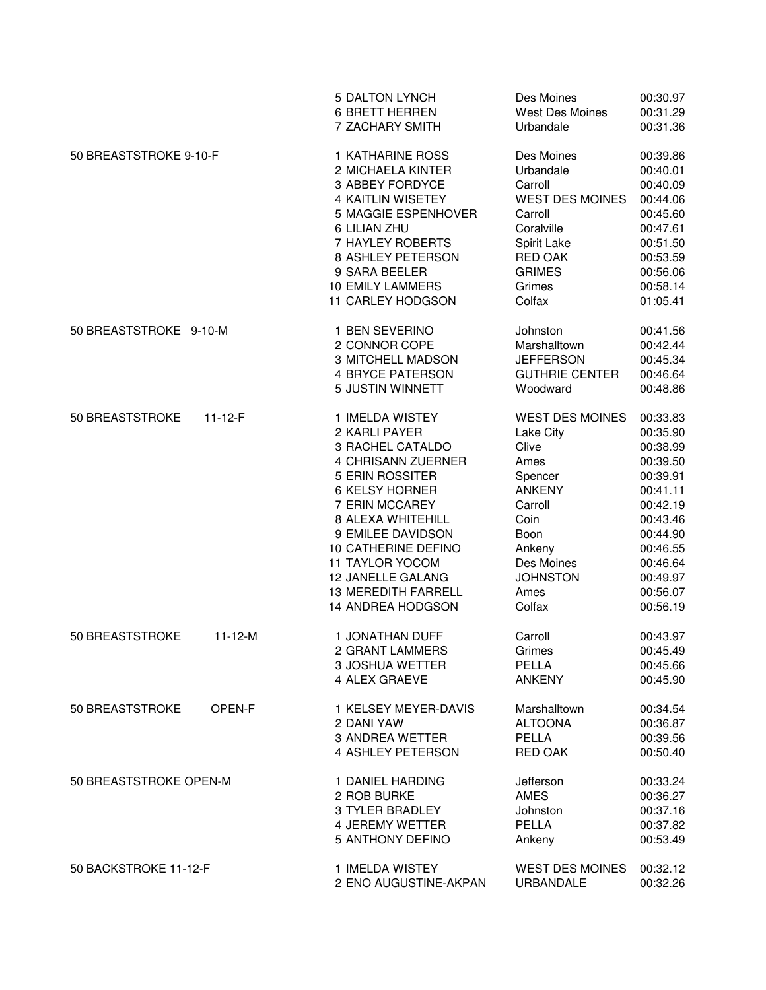|                        |               | <b>5 DALTON LYNCH</b><br><b>6 BRETT HERREN</b><br>7 ZACHARY SMITH                                                                                                                                                                                                                                    | Des Moines<br>West Des Moines<br>Urbandale                                                                                                                               | 00:30.97<br>00:31.29<br>00:31.36                                                                                                                                     |
|------------------------|---------------|------------------------------------------------------------------------------------------------------------------------------------------------------------------------------------------------------------------------------------------------------------------------------------------------------|--------------------------------------------------------------------------------------------------------------------------------------------------------------------------|----------------------------------------------------------------------------------------------------------------------------------------------------------------------|
| 50 BREASTSTROKE 9-10-F |               | 1 KATHARINE ROSS<br>2 MICHAELA KINTER<br>3 ABBEY FORDYCE<br><b>4 KAITLIN WISETEY</b><br>5 MAGGIE ESPENHOVER<br>6 LILIAN ZHU<br>7 HAYLEY ROBERTS<br>8 ASHLEY PETERSON<br>9 SARA BEELER<br><b>10 EMILY LAMMERS</b><br>11 CARLEY HODGSON                                                                | Des Moines<br>Urbandale<br>Carroll<br><b>WEST DES MOINES</b><br>Carroll<br>Coralville<br>Spirit Lake<br><b>RED OAK</b><br><b>GRIMES</b><br>Grimes<br>Colfax              | 00:39.86<br>00:40.01<br>00:40.09<br>00:44.06<br>00:45.60<br>00:47.61<br>00:51.50<br>00:53.59<br>00:56.06<br>00:58.14<br>01:05.41                                     |
| 50 BREASTSTROKE 9-10-M |               | 1 BEN SEVERINO<br>2 CONNOR COPE<br>3 MITCHELL MADSON<br><b>4 BRYCE PATERSON</b><br>5 JUSTIN WINNETT                                                                                                                                                                                                  | Johnston<br>Marshalltown<br><b>JEFFERSON</b><br><b>GUTHRIE CENTER</b><br>Woodward                                                                                        | 00:41.56<br>00:42.44<br>00:45.34<br>00:46.64<br>00:48.86                                                                                                             |
| 50 BREASTSTROKE        | $11 - 12 - F$ | 1 IMELDA WISTEY<br>2 KARLI PAYER<br>3 RACHEL CATALDO<br>4 CHRISANN ZUERNER<br>5 ERIN ROSSITER<br><b>6 KELSY HORNER</b><br>7 ERIN MCCAREY<br>8 ALEXA WHITEHILL<br>9 EMILEE DAVIDSON<br>10 CATHERINE DEFINO<br>11 TAYLOR YOCOM<br>12 JANELLE GALANG<br><b>13 MEREDITH FARRELL</b><br>14 ANDREA HODGSON | <b>WEST DES MOINES</b><br>Lake City<br>Clive<br>Ames<br>Spencer<br><b>ANKENY</b><br>Carroll<br>Coin<br>Boon<br>Ankeny<br>Des Moines<br><b>JOHNSTON</b><br>Ames<br>Colfax | 00:33.83<br>00:35.90<br>00:38.99<br>00:39.50<br>00:39.91<br>00:41.11<br>00:42.19<br>00:43.46<br>00:44.90<br>00:46.55<br>00:46.64<br>00:49.97<br>00:56.07<br>00:56.19 |
| 50 BREASTSTROKE        | $11 - 12 - M$ | 1 JONATHAN DUFF<br>2 GRANT LAMMERS<br>3 JOSHUA WETTER<br>4 ALEX GRAEVE                                                                                                                                                                                                                               | Carroll<br>Grimes<br>PELLA<br><b>ANKENY</b>                                                                                                                              | 00:43.97<br>00:45.49<br>00:45.66<br>00:45.90                                                                                                                         |
| 50 BREASTSTROKE        | OPEN-F        | 1 KELSEY MEYER-DAVIS<br>2 DANI YAW<br>3 ANDREA WETTER<br>4 ASHLEY PETERSON                                                                                                                                                                                                                           | Marshalltown<br><b>ALTOONA</b><br>PELLA<br><b>RED OAK</b>                                                                                                                | 00:34.54<br>00:36.87<br>00:39.56<br>00:50.40                                                                                                                         |
| 50 BREASTSTROKE OPEN-M |               | 1 DANIEL HARDING<br>2 ROB BURKE<br>3 TYLER BRADLEY<br>4 JEREMY WETTER<br>5 ANTHONY DEFINO                                                                                                                                                                                                            | Jefferson<br><b>AMES</b><br>Johnston<br>PELLA<br>Ankeny                                                                                                                  | 00:33.24<br>00:36.27<br>00:37.16<br>00:37.82<br>00:53.49                                                                                                             |
| 50 BACKSTROKE 11-12-F  |               | 1 IMELDA WISTEY<br>2 ENO AUGUSTINE-AKPAN                                                                                                                                                                                                                                                             | <b>WEST DES MOINES</b><br><b>URBANDALE</b>                                                                                                                               | 00:32.12<br>00:32.26                                                                                                                                                 |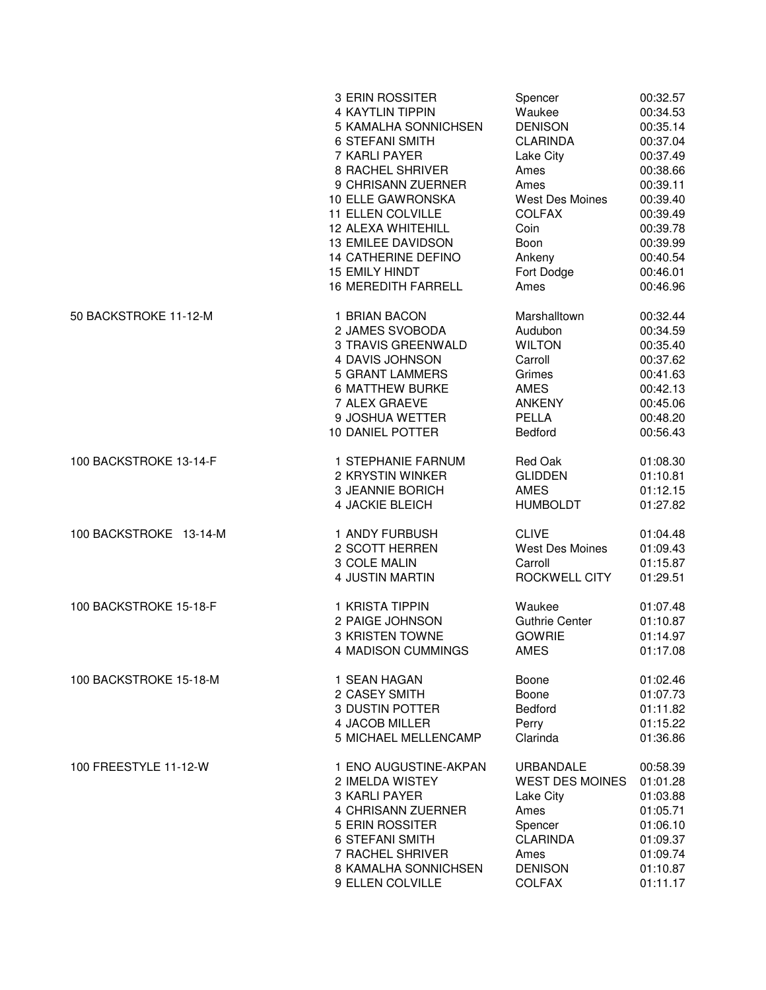|                        | 3 ERIN ROSSITER            | Spencer                | 00:32.57 |
|------------------------|----------------------------|------------------------|----------|
|                        | <b>4 KAYTLIN TIPPIN</b>    | Waukee                 | 00:34.53 |
|                        | 5 KAMALHA SONNICHSEN       | <b>DENISON</b>         | 00:35.14 |
|                        | <b>6 STEFANI SMITH</b>     | <b>CLARINDA</b>        | 00:37.04 |
|                        | 7 KARLI PAYER              | Lake City              | 00:37.49 |
|                        | <b>8 RACHEL SHRIVER</b>    | Ames                   | 00:38.66 |
|                        | 9 CHRISANN ZUERNER         | Ames                   | 00:39.11 |
|                        | 10 ELLE GAWRONSKA          | West Des Moines        | 00:39.40 |
|                        | 11 ELLEN COLVILLE          | <b>COLFAX</b>          | 00:39.49 |
|                        | <b>12 ALEXA WHITEHILL</b>  | Coin                   | 00:39.78 |
|                        | 13 EMILEE DAVIDSON         | Boon                   | 00:39.99 |
|                        | 14 CATHERINE DEFINO        | Ankeny                 | 00:40.54 |
|                        | <b>15 EMILY HINDT</b>      | Fort Dodge             | 00:46.01 |
|                        | <b>16 MEREDITH FARRELL</b> | Ames                   | 00:46.96 |
| 50 BACKSTROKE 11-12-M  | 1 BRIAN BACON              | Marshalltown           | 00:32.44 |
|                        | 2 JAMES SVOBODA            | Audubon                | 00:34.59 |
|                        | 3 TRAVIS GREENWALD         | <b>WILTON</b>          | 00:35.40 |
|                        | 4 DAVIS JOHNSON            | Carroll                | 00:37.62 |
|                        | <b>5 GRANT LAMMERS</b>     | Grimes                 | 00:41.63 |
|                        | <b>6 MATTHEW BURKE</b>     | <b>AMES</b>            | 00:42.13 |
|                        | 7 ALEX GRAEVE              | <b>ANKENY</b>          | 00:45.06 |
|                        | 9 JOSHUA WETTER            | <b>PELLA</b>           | 00:48.20 |
|                        | 10 DANIEL POTTER           | Bedford                | 00:56.43 |
| 100 BACKSTROKE 13-14-F | 1 STEPHANIE FARNUM         | Red Oak                | 01:08.30 |
|                        | 2 KRYSTIN WINKER           | <b>GLIDDEN</b>         | 01:10.81 |
|                        | 3 JEANNIE BORICH           | <b>AMES</b>            | 01:12.15 |
|                        | 4 JACKIE BLEICH            | <b>HUMBOLDT</b>        | 01:27.82 |
| 100 BACKSTROKE 13-14-M | 1 ANDY FURBUSH             | <b>CLIVE</b>           | 01:04.48 |
|                        | 2 SCOTT HERREN             | <b>West Des Moines</b> | 01:09.43 |
|                        | 3 COLE MALIN               | Carroll                | 01:15.87 |
|                        | 4 JUSTIN MARTIN            | ROCKWELL CITY          | 01:29.51 |
| 100 BACKSTROKE 15-18-F | 1 KRISTA TIPPIN            | Waukee                 | 01:07.48 |
|                        | 2 PAIGE JOHNSON            | <b>Guthrie Center</b>  | 01:10.87 |
|                        | <b>3 KRISTEN TOWNE</b>     | <b>GOWRIE</b>          | 01:14.97 |
|                        | <b>4 MADISON CUMMINGS</b>  | <b>AMES</b>            | 01:17.08 |
| 100 BACKSTROKE 15-18-M | 1 SEAN HAGAN               | Boone                  | 01:02.46 |
|                        | 2 CASEY SMITH              | Boone                  | 01:07.73 |
|                        | 3 DUSTIN POTTER            | Bedford                | 01:11.82 |
|                        | 4 JACOB MILLER             | Perry                  | 01:15.22 |
|                        | 5 MICHAEL MELLENCAMP       | Clarinda               | 01:36.86 |
| 100 FREESTYLE 11-12-W  | 1 ENO AUGUSTINE-AKPAN      | <b>URBANDALE</b>       | 00:58.39 |
|                        | 2 IMELDA WISTEY            | <b>WEST DES MOINES</b> | 01:01.28 |
|                        | 3 KARLI PAYER              | Lake City              | 01:03.88 |
|                        | 4 CHRISANN ZUERNER         | Ames                   | 01:05.71 |
|                        | 5 ERIN ROSSITER            | Spencer                | 01:06.10 |
|                        | <b>6 STEFANI SMITH</b>     | <b>CLARINDA</b>        | 01:09.37 |
|                        | 7 RACHEL SHRIVER           | Ames                   | 01:09.74 |
|                        | 8 KAMALHA SONNICHSEN       | <b>DENISON</b>         | 01:10.87 |
|                        | 9 ELLEN COLVILLE           | <b>COLFAX</b>          | 01:11.17 |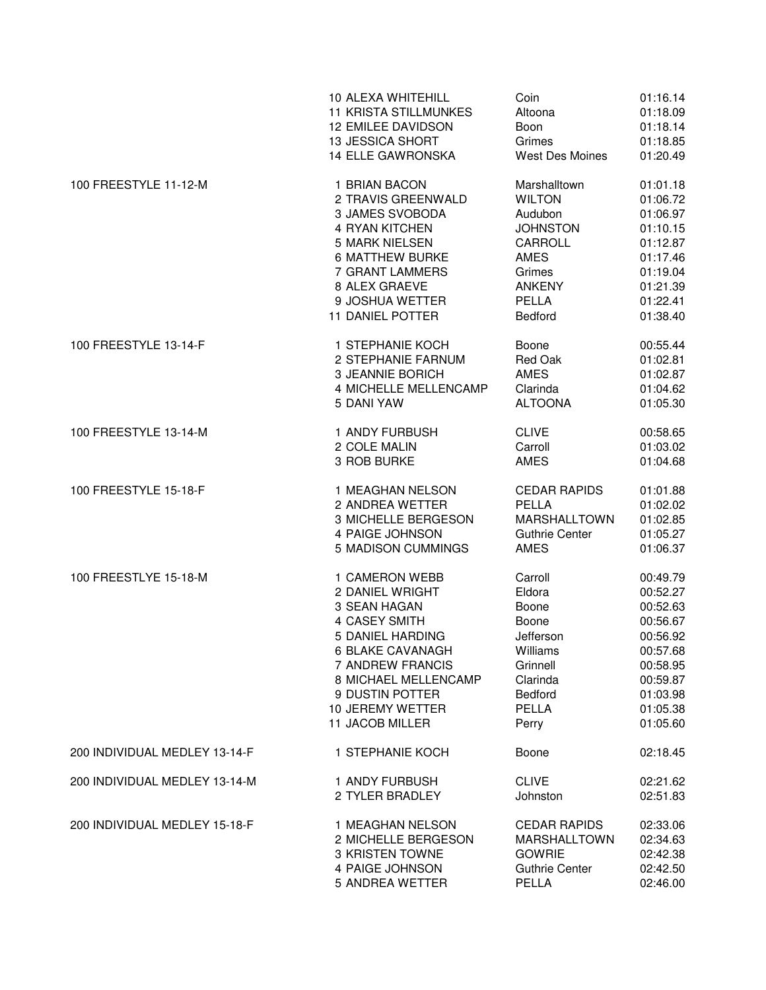|                               | 10 ALEXA WHITEHILL           | Coin                  | 01:16.14 |
|-------------------------------|------------------------------|-----------------------|----------|
|                               | <b>11 KRISTA STILLMUNKES</b> | Altoona               | 01:18.09 |
|                               | <b>12 EMILEE DAVIDSON</b>    | Boon                  | 01:18.14 |
|                               | 13 JESSICA SHORT             | Grimes                | 01:18.85 |
|                               | <b>14 ELLE GAWRONSKA</b>     | West Des Moines       | 01:20.49 |
| 100 FREESTYLE 11-12-M         | 1 BRIAN BACON                | Marshalltown          | 01:01.18 |
|                               | 2 TRAVIS GREENWALD           | <b>WILTON</b>         | 01:06.72 |
|                               | 3 JAMES SVOBODA              | Audubon               | 01:06.97 |
|                               | 4 RYAN KITCHEN               | <b>JOHNSTON</b>       | 01:10.15 |
|                               | <b>5 MARK NIELSEN</b>        | CARROLL               | 01:12.87 |
|                               | <b>6 MATTHEW BURKE</b>       | <b>AMES</b>           | 01:17.46 |
|                               | 7 GRANT LAMMERS              | Grimes                | 01:19.04 |
|                               | 8 ALEX GRAEVE                | <b>ANKENY</b>         | 01:21.39 |
|                               | 9 JOSHUA WETTER              | PELLA                 | 01:22.41 |
|                               | 11 DANIEL POTTER             | Bedford               | 01:38.40 |
| 100 FREESTYLE 13-14-F         | 1 STEPHANIE KOCH             | Boone                 | 00:55.44 |
|                               | 2 STEPHANIE FARNUM           | Red Oak               | 01:02.81 |
|                               | 3 JEANNIE BORICH             | <b>AMES</b>           | 01:02.87 |
|                               | 4 MICHELLE MELLENCAMP        | Clarinda              | 01:04.62 |
|                               | 5 DANI YAW                   | <b>ALTOONA</b>        | 01:05.30 |
| 100 FREESTYLE 13-14-M         | 1 ANDY FURBUSH               | <b>CLIVE</b>          | 00:58.65 |
|                               | 2 COLE MALIN                 | Carroll               | 01:03.02 |
|                               | 3 ROB BURKE                  | <b>AMES</b>           | 01:04.68 |
| 100 FREESTYLE 15-18-F         | 1 MEAGHAN NELSON             | <b>CEDAR RAPIDS</b>   | 01:01.88 |
|                               | 2 ANDREA WETTER              | PELLA                 | 01:02.02 |
|                               | 3 MICHELLE BERGESON          | <b>MARSHALLTOWN</b>   | 01:02.85 |
|                               | 4 PAIGE JOHNSON              | <b>Guthrie Center</b> | 01:05.27 |
|                               | <b>5 MADISON CUMMINGS</b>    | <b>AMES</b>           | 01:06.37 |
| 100 FREESTLYE 15-18-M         | 1 CAMERON WEBB               | Carroll               | 00:49.79 |
|                               | 2 DANIEL WRIGHT              | Eldora                | 00:52.27 |
|                               | 3 SEAN HAGAN                 | Boone                 | 00:52.63 |
|                               | <b>4 CASEY SMITH</b>         | Boone                 | 00:56.67 |
|                               | 5 DANIEL HARDING             | Jefferson             | 00:56.92 |
|                               | 6 BLAKE CAVANAGH             | Williams              | 00:57.68 |
|                               | 7 ANDREW FRANCIS             | Grinnell              | 00:58.95 |
|                               | 8 MICHAEL MELLENCAMP         | Clarinda              | 00:59.87 |
|                               | 9 DUSTIN POTTER              | <b>Bedford</b>        | 01:03.98 |
|                               | 10 JEREMY WETTER             | <b>PELLA</b>          | 01:05.38 |
|                               | 11 JACOB MILLER              | Perry                 | 01:05.60 |
| 200 INDIVIDUAL MEDLEY 13-14-F | 1 STEPHANIE KOCH             | Boone                 | 02:18.45 |
| 200 INDIVIDUAL MEDLEY 13-14-M | 1 ANDY FURBUSH               | <b>CLIVE</b>          | 02:21.62 |
|                               | 2 TYLER BRADLEY              | Johnston              | 02:51.83 |
| 200 INDIVIDUAL MEDLEY 15-18-F | 1 MEAGHAN NELSON             | <b>CEDAR RAPIDS</b>   | 02:33.06 |
|                               | 2 MICHELLE BERGESON          | MARSHALLTOWN          | 02:34.63 |
|                               | <b>3 KRISTEN TOWNE</b>       | <b>GOWRIE</b>         | 02:42.38 |
|                               | 4 PAIGE JOHNSON              | <b>Guthrie Center</b> | 02:42.50 |
|                               | 5 ANDREA WETTER              | PELLA                 | 02:46.00 |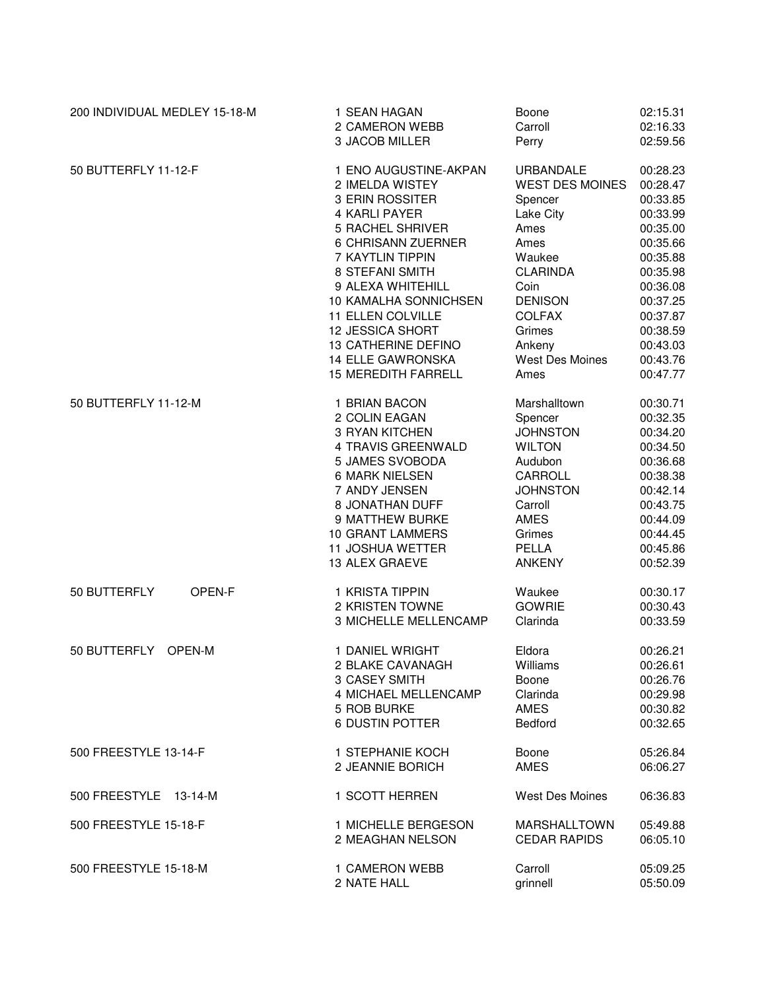| 200 INDIVIDUAL MEDLEY 15-18-M | 1 SEAN HAGAN                                                                                                   | Boone                                                             | 02:15.31                                                             |
|-------------------------------|----------------------------------------------------------------------------------------------------------------|-------------------------------------------------------------------|----------------------------------------------------------------------|
|                               | 2 CAMERON WEBB                                                                                                 | Carroll                                                           | 02:16.33                                                             |
|                               | 3 JACOB MILLER                                                                                                 | Perry                                                             | 02:59.56                                                             |
| 50 BUTTERFLY 11-12-F          | 1 ENO AUGUSTINE-AKPAN                                                                                          | <b>URBANDALE</b>                                                  | 00:28.23                                                             |
|                               | 2 IMELDA WISTEY                                                                                                | <b>WEST DES MOINES</b>                                            | 00:28.47                                                             |
|                               | 3 ERIN ROSSITER                                                                                                | Spencer                                                           | 00:33.85                                                             |
|                               | 4 KARLI PAYER                                                                                                  | Lake City                                                         | 00:33.99                                                             |
|                               | <b>5 RACHEL SHRIVER</b>                                                                                        | Ames                                                              | 00:35.00                                                             |
|                               | 6 CHRISANN ZUERNER                                                                                             | Ames                                                              | 00:35.66                                                             |
|                               | 7 KAYTLIN TIPPIN                                                                                               | Waukee                                                            | 00:35.88                                                             |
|                               | 8 STEFANI SMITH                                                                                                | <b>CLARINDA</b>                                                   | 00:35.98                                                             |
|                               | 9 ALEXA WHITEHILL                                                                                              | Coin                                                              | 00:36.08                                                             |
|                               | 10 KAMALHA SONNICHSEN                                                                                          | <b>DENISON</b>                                                    | 00:37.25                                                             |
|                               | 11 ELLEN COLVILLE                                                                                              | <b>COLFAX</b>                                                     | 00:37.87                                                             |
|                               | 12 JESSICA SHORT                                                                                               | Grimes                                                            | 00:38.59                                                             |
|                               | 13 CATHERINE DEFINO                                                                                            | Ankeny                                                            | 00:43.03                                                             |
|                               | <b>14 ELLE GAWRONSKA</b>                                                                                       | West Des Moines                                                   | 00:43.76                                                             |
|                               | <b>15 MEREDITH FARRELL</b>                                                                                     | Ames                                                              | 00:47.77                                                             |
| 50 BUTTERFLY 11-12-M          | 1 BRIAN BACON                                                                                                  | Marshalltown                                                      | 00:30.71                                                             |
|                               | 2 COLIN EAGAN                                                                                                  | Spencer                                                           | 00:32.35                                                             |
|                               | 3 RYAN KITCHEN                                                                                                 | <b>JOHNSTON</b>                                                   | 00:34.20                                                             |
|                               | 4 TRAVIS GREENWALD                                                                                             | <b>WILTON</b>                                                     | 00:34.50                                                             |
|                               | 5 JAMES SVOBODA                                                                                                | Audubon                                                           | 00:36.68                                                             |
|                               | <b>6 MARK NIELSEN</b>                                                                                          | <b>CARROLL</b>                                                    | 00:38.38                                                             |
|                               | 7 ANDY JENSEN                                                                                                  | <b>JOHNSTON</b>                                                   | 00:42.14                                                             |
|                               | 8 JONATHAN DUFF                                                                                                | Carroll                                                           | 00:43.75                                                             |
|                               | 9 MATTHEW BURKE                                                                                                | <b>AMES</b>                                                       | 00:44.09                                                             |
|                               | <b>10 GRANT LAMMERS</b>                                                                                        | Grimes                                                            | 00:44.45                                                             |
|                               | <b>11 JOSHUA WETTER</b>                                                                                        | <b>PELLA</b>                                                      | 00:45.86                                                             |
|                               | 13 ALEX GRAEVE                                                                                                 | <b>ANKENY</b>                                                     | 00:52.39                                                             |
| 50 BUTTERFLY<br>OPEN-F        | 1 KRISTA TIPPIN<br>2 KRISTEN TOWNE<br>3 MICHELLE MELLENCAMP                                                    | Waukee<br><b>GOWRIE</b><br>Clarinda                               | 00:30.17<br>00:30.43<br>00:33.59                                     |
| 50 BUTTERFLY<br>OPEN-M        | 1 DANIEL WRIGHT<br>2 BLAKE CAVANAGH<br>3 CASEY SMITH<br>4 MICHAEL MELLENCAMP<br>5 ROB BURKE<br>6 DUSTIN POTTER | Eldora<br>Williams<br>Boone<br>Clarinda<br><b>AMES</b><br>Bedford | 00:26.21<br>00:26.61<br>00:26.76<br>00:29.98<br>00:30.82<br>00:32.65 |
| 500 FREESTYLE 13-14-F         | 1 STEPHANIE KOCH                                                                                               | Boone                                                             | 05:26.84                                                             |
|                               | 2 JEANNIE BORICH                                                                                               | <b>AMES</b>                                                       | 06:06.27                                                             |
| 500 FREESTYLE 13-14-M         | 1 SCOTT HERREN                                                                                                 | <b>West Des Moines</b>                                            | 06:36.83                                                             |
| 500 FREESTYLE 15-18-F         | 1 MICHELLE BERGESON                                                                                            | <b>MARSHALLTOWN</b>                                               | 05:49.88                                                             |
|                               | 2 MEAGHAN NELSON                                                                                               | <b>CEDAR RAPIDS</b>                                               | 06:05.10                                                             |
| 500 FREESTYLE 15-18-M         | 1 CAMERON WEBB                                                                                                 | Carroll                                                           | 05:09.25                                                             |
|                               | 2 NATE HALL                                                                                                    | grinnell                                                          | 05:50.09                                                             |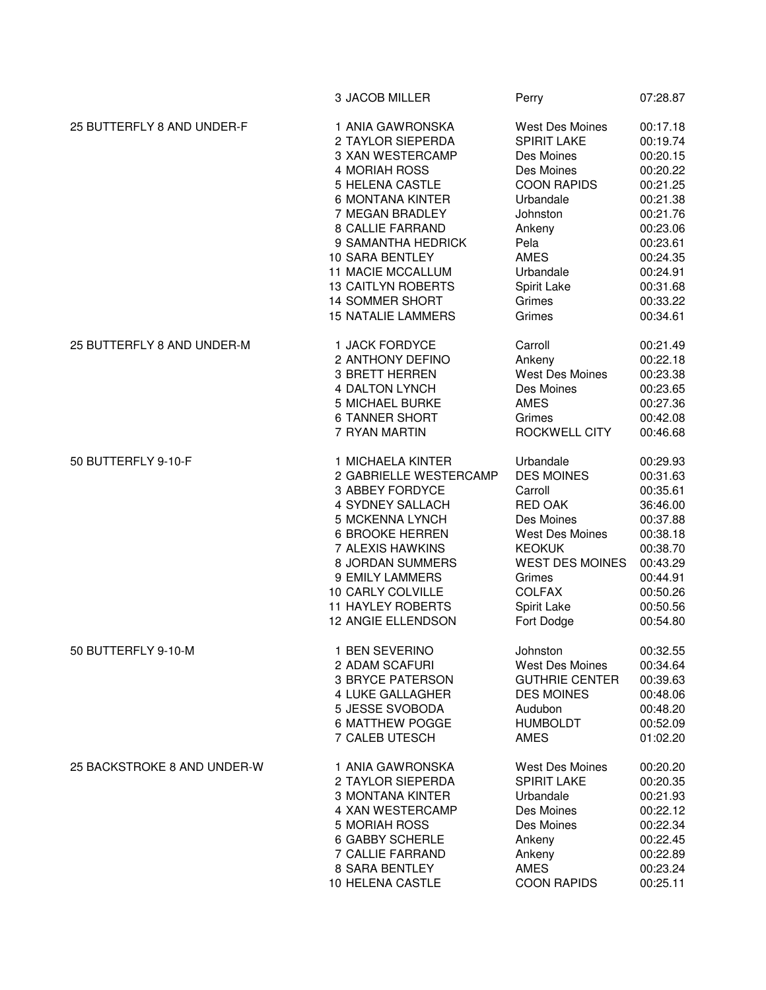|                             | 3 JACOB MILLER            | Perry                  | 07:28.87 |
|-----------------------------|---------------------------|------------------------|----------|
| 25 BUTTERFLY 8 AND UNDER-F  | 1 ANIA GAWRONSKA          | <b>West Des Moines</b> | 00:17.18 |
|                             | 2 TAYLOR SIEPERDA         | <b>SPIRIT LAKE</b>     | 00:19.74 |
|                             | 3 XAN WESTERCAMP          | Des Moines             | 00:20.15 |
|                             | 4 MORIAH ROSS             | Des Moines             | 00:20.22 |
|                             | 5 HELENA CASTLE           | <b>COON RAPIDS</b>     | 00:21.25 |
|                             | <b>6 MONTANA KINTER</b>   | Urbandale              | 00:21.38 |
|                             | 7 MEGAN BRADLEY           | Johnston               | 00:21.76 |
|                             | <b>8 CALLIE FARRAND</b>   | Ankeny                 | 00:23.06 |
|                             | 9 SAMANTHA HEDRICK        | Pela                   | 00:23.61 |
|                             | 10 SARA BENTLEY           | <b>AMES</b>            | 00:24.35 |
|                             | <b>11 MACIE MCCALLUM</b>  | Urbandale              | 00:24.91 |
|                             | <b>13 CAITLYN ROBERTS</b> | Spirit Lake            | 00:31.68 |
|                             | <b>14 SOMMER SHORT</b>    | Grimes                 | 00:33.22 |
|                             | <b>15 NATALIE LAMMERS</b> | Grimes                 | 00:34.61 |
| 25 BUTTERFLY 8 AND UNDER-M  | 1 JACK FORDYCE            | Carroll                | 00:21.49 |
|                             | 2 ANTHONY DEFINO          | Ankeny                 | 00:22.18 |
|                             | <b>3 BRETT HERREN</b>     | <b>West Des Moines</b> | 00:23.38 |
|                             | 4 DALTON LYNCH            | Des Moines             | 00:23.65 |
|                             | <b>5 MICHAEL BURKE</b>    | <b>AMES</b>            | 00:27.36 |
|                             | <b>6 TANNER SHORT</b>     | Grimes                 | 00:42.08 |
|                             | 7 RYAN MARTIN             | ROCKWELL CITY          | 00:46.68 |
| 50 BUTTERFLY 9-10-F         | 1 MICHAELA KINTER         | Urbandale              | 00:29.93 |
|                             | 2 GABRIELLE WESTERCAMP    | <b>DES MOINES</b>      | 00:31.63 |
|                             | 3 ABBEY FORDYCE           | Carroll                | 00:35.61 |
|                             | 4 SYDNEY SALLACH          | <b>RED OAK</b>         | 36:46.00 |
|                             | 5 MCKENNA LYNCH           | Des Moines             | 00:37.88 |
|                             | <b>6 BROOKE HERREN</b>    | <b>West Des Moines</b> | 00:38.18 |
|                             | 7 ALEXIS HAWKINS          | <b>KEOKUK</b>          | 00:38.70 |
|                             | 8 JORDAN SUMMERS          | <b>WEST DES MOINES</b> | 00:43.29 |
|                             | 9 EMILY LAMMERS           | Grimes                 | 00:44.91 |
|                             | 10 CARLY COLVILLE         | <b>COLFAX</b>          | 00:50.26 |
|                             | <b>11 HAYLEY ROBERTS</b>  | Spirit Lake            | 00:50.56 |
|                             | 12 ANGIE ELLENDSON        | Fort Dodge             | 00:54.80 |
|                             |                           |                        |          |
| 50 BUTTERFLY 9-10-M         | 1 BEN SEVERINO            | Johnston               | 00:32.55 |
|                             | 2 ADAM SCAFURI            | West Des Moines        | 00:34.64 |
|                             | 3 BRYCE PATERSON          | <b>GUTHRIE CENTER</b>  | 00:39.63 |
|                             | 4 LUKE GALLAGHER          | <b>DES MOINES</b>      | 00:48.06 |
|                             | 5 JESSE SVOBODA           | Audubon                | 00:48.20 |
|                             | <b>6 MATTHEW POGGE</b>    | <b>HUMBOLDT</b>        | 00:52.09 |
|                             | 7 CALEB UTESCH            | AMES                   | 01:02.20 |
| 25 BACKSTROKE 8 AND UNDER-W | 1 ANIA GAWRONSKA          | <b>West Des Moines</b> | 00:20.20 |
|                             | 2 TAYLOR SIEPERDA         | <b>SPIRIT LAKE</b>     | 00:20.35 |
|                             | 3 MONTANA KINTER          | Urbandale              | 00:21.93 |
|                             | 4 XAN WESTERCAMP          | Des Moines             | 00:22.12 |
|                             | 5 MORIAH ROSS             | Des Moines             | 00:22.34 |
|                             | <b>6 GABBY SCHERLE</b>    | Ankeny                 | 00:22.45 |
|                             | 7 CALLIE FARRAND          | Ankeny                 | 00:22.89 |
|                             | <b>8 SARA BENTLEY</b>     | <b>AMES</b>            | 00:23.24 |
|                             | 10 HELENA CASTLE          | <b>COON RAPIDS</b>     | 00:25.11 |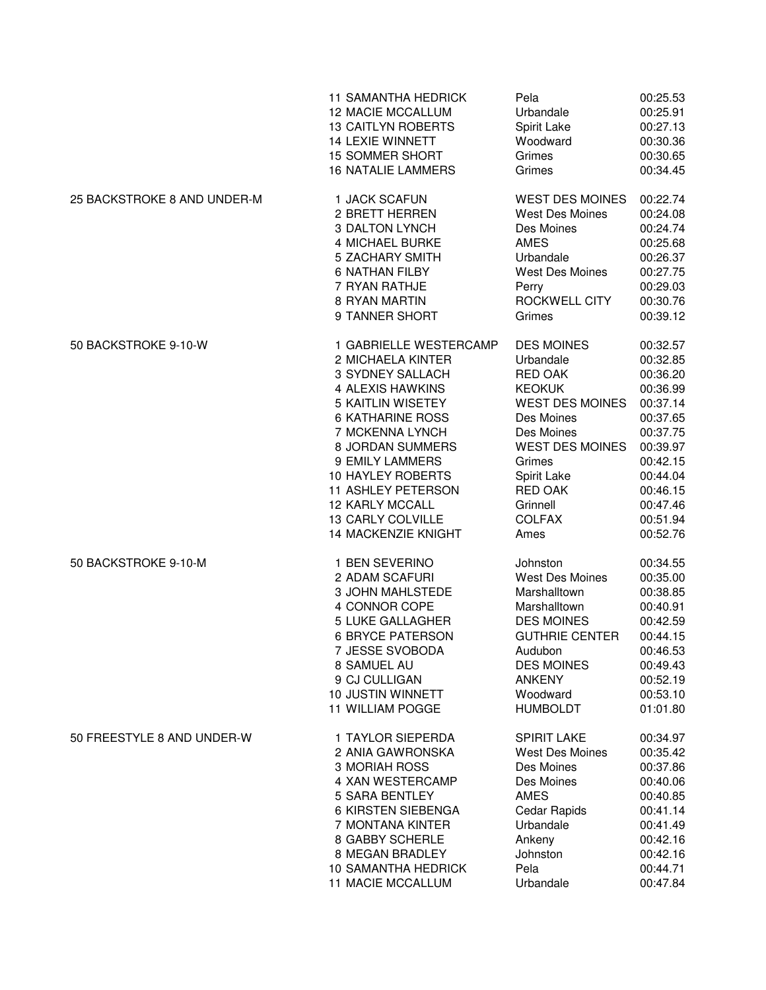|                             | <b>11 SAMANTHA HEDRICK</b> | Pela                   | 00:25.53 |
|-----------------------------|----------------------------|------------------------|----------|
|                             | <b>12 MACIE MCCALLUM</b>   | Urbandale              | 00:25.91 |
|                             | <b>13 CAITLYN ROBERTS</b>  | Spirit Lake            | 00:27.13 |
|                             | <b>14 LEXIE WINNETT</b>    | Woodward               | 00:30.36 |
|                             | <b>15 SOMMER SHORT</b>     | Grimes                 | 00:30.65 |
|                             | <b>16 NATALIE LAMMERS</b>  | Grimes                 | 00:34.45 |
| 25 BACKSTROKE 8 AND UNDER-M | 1 JACK SCAFUN              | <b>WEST DES MOINES</b> | 00:22.74 |
|                             | 2 BRETT HERREN             | <b>West Des Moines</b> | 00:24.08 |
|                             | <b>3 DALTON LYNCH</b>      | Des Moines             | 00:24.74 |
|                             | 4 MICHAEL BURKE            | <b>AMES</b>            | 00:25.68 |
|                             | 5 ZACHARY SMITH            | Urbandale              | 00:26.37 |
|                             | <b>6 NATHAN FILBY</b>      | <b>West Des Moines</b> | 00:27.75 |
|                             | 7 RYAN RATHJE              | Perry                  | 00:29.03 |
|                             | 8 RYAN MARTIN              | ROCKWELL CITY          | 00:30.76 |
|                             | 9 TANNER SHORT             | Grimes                 | 00:39.12 |
| 50 BACKSTROKE 9-10-W        | 1 GABRIELLE WESTERCAMP     | <b>DES MOINES</b>      | 00:32.57 |
|                             | 2 MICHAELA KINTER          | Urbandale              | 00:32.85 |
|                             | 3 SYDNEY SALLACH           | <b>RED OAK</b>         | 00:36.20 |
|                             | 4 ALEXIS HAWKINS           | <b>KEOKUK</b>          | 00:36.99 |
|                             | <b>5 KAITLIN WISETEY</b>   | <b>WEST DES MOINES</b> | 00:37.14 |
|                             | <b>6 KATHARINE ROSS</b>    | Des Moines             | 00:37.65 |
|                             | 7 MCKENNA LYNCH            | Des Moines             | 00:37.75 |
|                             | 8 JORDAN SUMMERS           | <b>WEST DES MOINES</b> | 00:39.97 |
|                             | 9 EMILY LAMMERS            | Grimes                 | 00:42.15 |
|                             | <b>10 HAYLEY ROBERTS</b>   | Spirit Lake            | 00:44.04 |
|                             | 11 ASHLEY PETERSON         | RED OAK                | 00:46.15 |
|                             | <b>12 KARLY MCCALL</b>     | Grinnell               | 00:47.46 |
|                             | 13 CARLY COLVILLE          | <b>COLFAX</b>          | 00:51.94 |
|                             | 14 MACKENZIE KNIGHT        | Ames                   | 00:52.76 |
| 50 BACKSTROKE 9-10-M        | 1 BEN SEVERINO             | Johnston               | 00:34.55 |
|                             | 2 ADAM SCAFURI             | <b>West Des Moines</b> | 00:35.00 |
|                             | 3 JOHN MAHLSTEDE           | Marshalltown           | 00:38.85 |
|                             | 4 CONNOR COPE              | Marshalltown           | 00:40.91 |
|                             | 5 LUKE GALLAGHER           | <b>DES MOINES</b>      | 00:42.59 |
|                             | <b>6 BRYCE PATERSON</b>    | <b>GUTHRIE CENTER</b>  | 00:44.15 |
|                             | 7 JESSE SVOBODA            | Audubon                | 00:46.53 |
|                             | 8 SAMUEL AU                | <b>DES MOINES</b>      | 00:49.43 |
|                             | 9 CJ CULLIGAN              | <b>ANKENY</b>          | 00:52.19 |
|                             | 10 JUSTIN WINNETT          | Woodward               | 00:53.10 |
|                             | 11 WILLIAM POGGE           | <b>HUMBOLDT</b>        | 01:01.80 |
| 50 FREESTYLE 8 AND UNDER-W  | 1 TAYLOR SIEPERDA          | <b>SPIRIT LAKE</b>     | 00:34.97 |
|                             | 2 ANIA GAWRONSKA           | <b>West Des Moines</b> | 00:35.42 |
|                             | 3 MORIAH ROSS              | Des Moines             | 00:37.86 |
|                             | 4 XAN WESTERCAMP           | Des Moines             | 00:40.06 |
|                             | 5 SARA BENTLEY             | <b>AMES</b>            | 00:40.85 |
|                             | 6 KIRSTEN SIEBENGA         | <b>Cedar Rapids</b>    | 00:41.14 |
|                             | 7 MONTANA KINTER           | Urbandale              | 00:41.49 |
|                             | 8 GABBY SCHERLE            | Ankeny                 | 00:42.16 |
|                             | 8 MEGAN BRADLEY            | Johnston               | 00:42.16 |
|                             | 10 SAMANTHA HEDRICK        | Pela                   | 00:44.71 |
|                             | 11 MACIE MCCALLUM          | Urbandale              | 00:47.84 |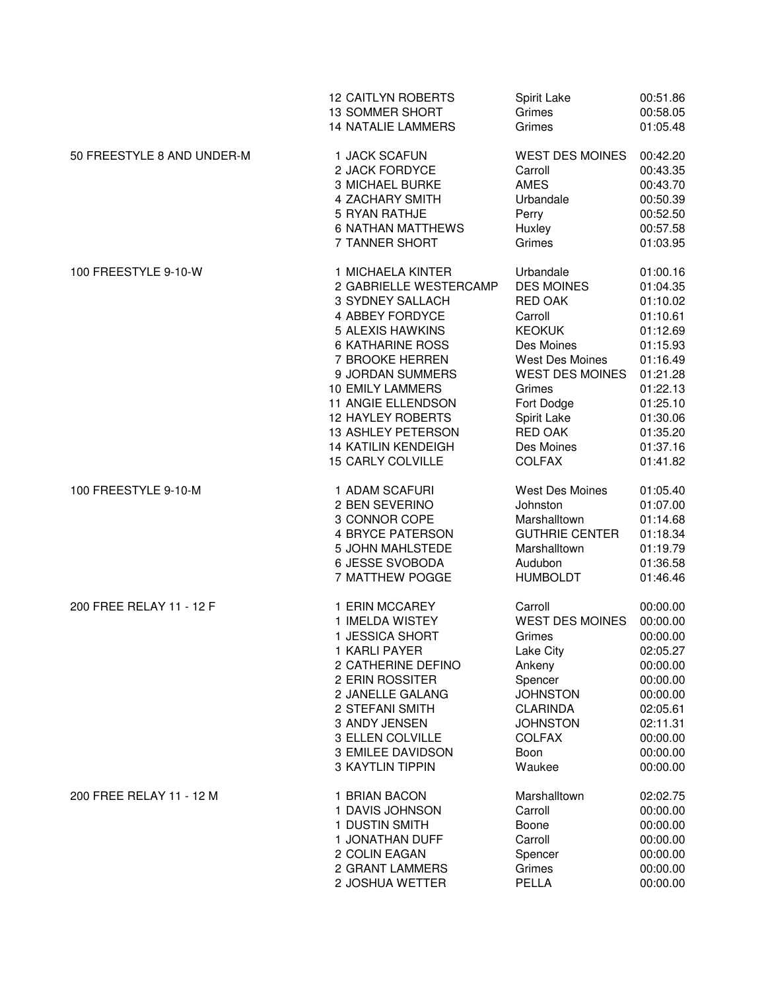|                            | <b>12 CAITLYN ROBERTS</b>  | Spirit Lake            | 00:51.86 |
|----------------------------|----------------------------|------------------------|----------|
|                            | <b>13 SOMMER SHORT</b>     | Grimes                 | 00:58.05 |
|                            | <b>14 NATALIE LAMMERS</b>  | Grimes                 | 01:05.48 |
| 50 FREESTYLE 8 AND UNDER-M | 1 JACK SCAFUN              | <b>WEST DES MOINES</b> | 00:42.20 |
|                            | 2 JACK FORDYCE             | Carroll                | 00:43.35 |
|                            | 3 MICHAEL BURKE            | <b>AMES</b>            | 00:43.70 |
|                            | 4 ZACHARY SMITH            | Urbandale              | 00:50.39 |
|                            | 5 RYAN RATHJE              | Perry                  | 00:52.50 |
|                            | <b>6 NATHAN MATTHEWS</b>   | Huxley                 | 00:57.58 |
|                            | 7 TANNER SHORT             | Grimes                 | 01:03.95 |
| 100 FREESTYLE 9-10-W       | 1 MICHAELA KINTER          | Urbandale              | 01:00.16 |
|                            | 2 GABRIELLE WESTERCAMP     | <b>DES MOINES</b>      | 01:04.35 |
|                            | 3 SYDNEY SALLACH           | <b>RED OAK</b>         | 01:10.02 |
|                            | 4 ABBEY FORDYCE            | Carroll                | 01:10.61 |
|                            | 5 ALEXIS HAWKINS           | <b>KEOKUK</b>          | 01:12.69 |
|                            | <b>6 KATHARINE ROSS</b>    | Des Moines             | 01:15.93 |
|                            | 7 BROOKE HERREN            | West Des Moines        | 01:16.49 |
|                            | 9 JORDAN SUMMERS           | <b>WEST DES MOINES</b> | 01:21.28 |
|                            | <b>10 EMILY LAMMERS</b>    | Grimes                 | 01:22.13 |
|                            | 11 ANGIE ELLENDSON         | Fort Dodge             | 01:25.10 |
|                            | <b>12 HAYLEY ROBERTS</b>   | Spirit Lake            | 01:30.06 |
|                            | 13 ASHLEY PETERSON         | RED OAK                | 01:35.20 |
|                            | <b>14 KATILIN KENDEIGH</b> | Des Moines             | 01:37.16 |
|                            | <b>15 CARLY COLVILLE</b>   | <b>COLFAX</b>          | 01:41.82 |
| 100 FREESTYLE 9-10-M       | 1 ADAM SCAFURI             | <b>West Des Moines</b> | 01:05.40 |
|                            | 2 BEN SEVERINO             | Johnston               | 01:07.00 |
|                            | 3 CONNOR COPE              | Marshalltown           | 01:14.68 |
|                            | <b>4 BRYCE PATERSON</b>    | <b>GUTHRIE CENTER</b>  | 01:18.34 |
|                            | 5 JOHN MAHLSTEDE           | Marshalltown           | 01:19.79 |
|                            | 6 JESSE SVOBODA            | Audubon                | 01:36.58 |
|                            | 7 MATTHEW POGGE            | <b>HUMBOLDT</b>        | 01:46.46 |
| 200 FREE RELAY 11 - 12 F   | 1 ERIN MCCAREY             | Carroll                | 00:00.00 |
|                            | 1 IMELDA WISTEY            | <b>WEST DES MOINES</b> | 00:00.00 |
|                            | 1 JESSICA SHORT            | Grimes                 | 00:00.00 |
|                            | 1 KARLI PAYER              | Lake City              | 02:05.27 |
|                            | 2 CATHERINE DEFINO         | Ankeny                 | 00:00.00 |
|                            | 2 ERIN ROSSITER            | Spencer                | 00:00.00 |
|                            | 2 JANELLE GALANG           | <b>JOHNSTON</b>        | 00:00.00 |
|                            | 2 STEFANI SMITH            | <b>CLARINDA</b>        | 02:05.61 |
|                            | 3 ANDY JENSEN              | <b>JOHNSTON</b>        | 02:11.31 |
|                            | 3 ELLEN COLVILLE           | <b>COLFAX</b>          | 00:00.00 |
|                            | 3 EMILEE DAVIDSON          | Boon                   | 00:00.00 |
|                            | <b>3 KAYTLIN TIPPIN</b>    | Waukee                 | 00:00.00 |
| 200 FREE RELAY 11 - 12 M   | 1 BRIAN BACON              | Marshalltown           | 02:02.75 |
|                            | 1 DAVIS JOHNSON            | Carroll                | 00:00.00 |
|                            | 1 DUSTIN SMITH             | Boone                  | 00:00.00 |
|                            | 1 JONATHAN DUFF            | Carroll                | 00:00.00 |
|                            | 2 COLIN EAGAN              | Spencer                | 00:00.00 |
|                            | 2 GRANT LAMMERS            | Grimes                 | 00:00.00 |
|                            | 2 JOSHUA WETTER            | PELLA                  | 00:00.00 |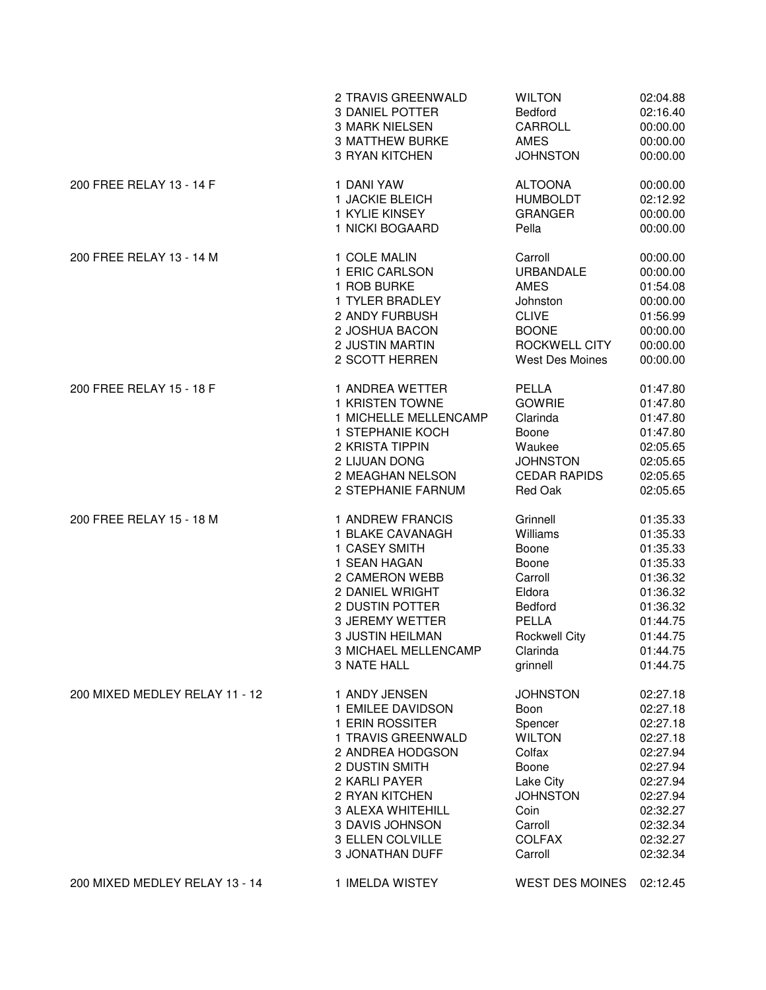|                                | 2 TRAVIS GREENWALD      | <b>WILTON</b>          | 02:04.88 |
|--------------------------------|-------------------------|------------------------|----------|
|                                | <b>3 DANIEL POTTER</b>  | <b>Bedford</b>         | 02:16.40 |
|                                | <b>3 MARK NIELSEN</b>   | CARROLL                | 00:00.00 |
|                                | <b>3 MATTHEW BURKE</b>  | <b>AMES</b>            | 00:00.00 |
|                                | <b>3 RYAN KITCHEN</b>   | <b>JOHNSTON</b>        | 00:00.00 |
| 200 FREE RELAY 13 - 14 F       | 1 DANI YAW              | <b>ALTOONA</b>         | 00:00.00 |
|                                | 1 JACKIE BLEICH         | <b>HUMBOLDT</b>        | 02:12.92 |
|                                | 1 KYLIE KINSEY          | <b>GRANGER</b>         | 00:00.00 |
|                                | 1 NICKI BOGAARD         | Pella                  | 00:00.00 |
| 200 FREE RELAY 13 - 14 M       | 1 COLE MALIN            | Carroll                | 00:00.00 |
|                                | 1 ERIC CARLSON          | <b>URBANDALE</b>       | 00:00.00 |
|                                | 1 ROB BURKE             | <b>AMES</b>            | 01:54.08 |
|                                | 1 TYLER BRADLEY         | Johnston               | 00:00.00 |
|                                | 2 ANDY FURBUSH          | <b>CLIVE</b>           | 01:56.99 |
|                                | 2 JOSHUA BACON          | <b>BOONE</b>           | 00:00.00 |
|                                | 2 JUSTIN MARTIN         | ROCKWELL CITY          | 00:00.00 |
|                                | 2 SCOTT HERREN          | <b>West Des Moines</b> | 00:00.00 |
| 200 FREE RELAY 15 - 18 F       | 1 ANDREA WETTER         | PELLA                  | 01:47.80 |
|                                | 1 KRISTEN TOWNE         | <b>GOWRIE</b>          | 01:47.80 |
|                                | 1 MICHELLE MELLENCAMP   | Clarinda               | 01:47.80 |
|                                | 1 STEPHANIE KOCH        | Boone                  | 01:47.80 |
|                                | 2 KRISTA TIPPIN         | Waukee                 | 02:05.65 |
|                                | 2 LIJUAN DONG           | <b>JOHNSTON</b>        | 02:05.65 |
|                                | 2 MEAGHAN NELSON        | <b>CEDAR RAPIDS</b>    | 02:05.65 |
|                                | 2 STEPHANIE FARNUM      | Red Oak                | 02:05.65 |
| 200 FREE RELAY 15 - 18 M       | 1 ANDREW FRANCIS        | Grinnell               | 01:35.33 |
|                                | 1 BLAKE CAVANAGH        | Williams               | 01:35.33 |
|                                | 1 CASEY SMITH           | Boone                  | 01:35.33 |
|                                | 1 SEAN HAGAN            | Boone                  | 01:35.33 |
|                                | 2 CAMERON WEBB          | Carroll                | 01:36.32 |
|                                | 2 DANIEL WRIGHT         | Eldora                 | 01:36.32 |
|                                | 2 DUSTIN POTTER         | Bedford                | 01:36.32 |
|                                | <b>3 JEREMY WETTER</b>  | PELLA                  | 01:44.75 |
|                                | <b>3 JUSTIN HEILMAN</b> | <b>Rockwell City</b>   | 01:44.75 |
|                                | 3 MICHAEL MELLENCAMP    | Clarinda               | 01:44.75 |
|                                | 3 NATE HALL             | grinnell               | 01:44.75 |
| 200 MIXED MEDLEY RELAY 11 - 12 | 1 ANDY JENSEN           | <b>JOHNSTON</b>        | 02:27.18 |
|                                | 1 EMILEE DAVIDSON       | Boon                   | 02:27.18 |
|                                | 1 ERIN ROSSITER         | Spencer                | 02:27.18 |
|                                | 1 TRAVIS GREENWALD      | <b>WILTON</b>          | 02:27.18 |
|                                | 2 ANDREA HODGSON        | Colfax                 | 02:27.94 |
|                                | 2 DUSTIN SMITH          | Boone                  | 02:27.94 |
|                                | 2 KARLI PAYER           | Lake City              | 02:27.94 |
|                                | 2 RYAN KITCHEN          | <b>JOHNSTON</b>        | 02:27.94 |
|                                | 3 ALEXA WHITEHILL       | Coin                   | 02:32.27 |
|                                | 3 DAVIS JOHNSON         | Carroll                | 02:32.34 |
|                                | 3 ELLEN COLVILLE        | <b>COLFAX</b>          | 02:32.27 |
|                                | 3 JONATHAN DUFF         | Carroll                | 02:32.34 |
| 200 MIXED MEDLEY RELAY 13 - 14 | 1 IMELDA WISTEY         | WEST DES MOINES        | 02:12.45 |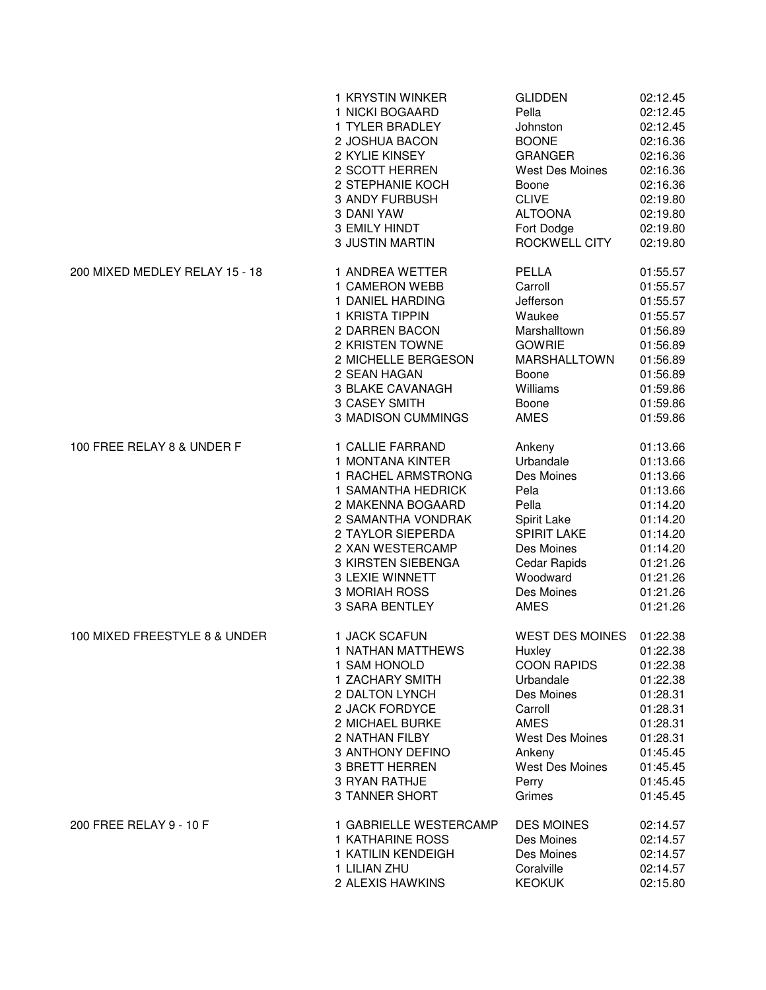|                                | 1 KRYSTIN WINKER          | <b>GLIDDEN</b>         | 02:12.45 |
|--------------------------------|---------------------------|------------------------|----------|
|                                | 1 NICKI BOGAARD           | Pella                  | 02:12.45 |
|                                | 1 TYLER BRADLEY           | Johnston               | 02:12.45 |
|                                | 2 JOSHUA BACON            | <b>BOONE</b>           | 02:16.36 |
|                                | 2 KYLIE KINSEY            | <b>GRANGER</b>         | 02:16.36 |
|                                | 2 SCOTT HERREN            | <b>West Des Moines</b> | 02:16.36 |
|                                | 2 STEPHANIE KOCH          | Boone                  | 02:16.36 |
|                                | 3 ANDY FURBUSH            | <b>CLIVE</b>           | 02:19.80 |
|                                | 3 DANI YAW                | <b>ALTOONA</b>         | 02:19.80 |
|                                | 3 EMILY HINDT             | Fort Dodge             | 02:19.80 |
|                                | <b>3 JUSTIN MARTIN</b>    | ROCKWELL CITY          | 02:19.80 |
| 200 MIXED MEDLEY RELAY 15 - 18 | 1 ANDREA WETTER           | PELLA                  | 01:55.57 |
|                                | 1 CAMERON WEBB            | Carroll                | 01:55.57 |
|                                | 1 DANIEL HARDING          | Jefferson              | 01:55.57 |
|                                | 1 KRISTA TIPPIN           | Waukee                 | 01:55.57 |
|                                | 2 DARREN BACON            | Marshalltown           | 01:56.89 |
|                                | 2 KRISTEN TOWNE           | <b>GOWRIE</b>          | 01:56.89 |
|                                | 2 MICHELLE BERGESON       | <b>MARSHALLTOWN</b>    | 01:56.89 |
|                                | 2 SEAN HAGAN              | Boone                  | 01:56.89 |
|                                | 3 BLAKE CAVANAGH          | Williams               | 01:59.86 |
|                                | 3 CASEY SMITH             | Boone                  | 01:59.86 |
|                                | <b>3 MADISON CUMMINGS</b> | <b>AMES</b>            | 01:59.86 |
| 100 FREE RELAY 8 & UNDER F     | 1 CALLIE FARRAND          | Ankeny                 | 01:13.66 |
|                                | 1 MONTANA KINTER          | Urbandale              | 01:13.66 |
|                                | 1 RACHEL ARMSTRONG        | Des Moines             | 01:13.66 |
|                                | 1 SAMANTHA HEDRICK        | Pela                   | 01:13.66 |
|                                | 2 MAKENNA BOGAARD         | Pella                  | 01:14.20 |
|                                | 2 SAMANTHA VONDRAK        | Spirit Lake            | 01:14.20 |
|                                | 2 TAYLOR SIEPERDA         | <b>SPIRIT LAKE</b>     | 01:14.20 |
|                                | 2 XAN WESTERCAMP          | Des Moines             | 01:14.20 |
|                                | 3 KIRSTEN SIEBENGA        | Cedar Rapids           | 01:21.26 |
|                                | 3 LEXIE WINNETT           | Woodward               | 01:21.26 |
|                                | 3 MORIAH ROSS             | Des Moines             | 01:21.26 |
|                                | <b>3 SARA BENTLEY</b>     | <b>AMES</b>            | 01:21.26 |
| 100 MIXED FREESTYLE 8 & UNDER  | 1 JACK SCAFUN             | <b>WEST DES MOINES</b> | 01:22.38 |
|                                | 1 NATHAN MATTHEWS         | Huxley                 | 01:22.38 |
|                                | 1 SAM HONOLD              | <b>COON RAPIDS</b>     | 01:22.38 |
|                                | 1 ZACHARY SMITH           | Urbandale              | 01:22.38 |
|                                | 2 DALTON LYNCH            | Des Moines             | 01:28.31 |
|                                | 2 JACK FORDYCE            | Carroll                | 01:28.31 |
|                                | 2 MICHAEL BURKE           | <b>AMES</b>            | 01:28.31 |
|                                | 2 NATHAN FILBY            | <b>West Des Moines</b> | 01:28.31 |
|                                | 3 ANTHONY DEFINO          | Ankeny                 | 01:45.45 |
|                                | 3 BRETT HERREN            | <b>West Des Moines</b> | 01:45.45 |
|                                | 3 RYAN RATHJE             | Perry                  | 01:45.45 |
|                                | 3 TANNER SHORT            | Grimes                 | 01:45.45 |
| 200 FREE RELAY 9 - 10 F        | 1 GABRIELLE WESTERCAMP    | <b>DES MOINES</b>      | 02:14.57 |
|                                | <b>1 KATHARINE ROSS</b>   | Des Moines             | 02:14.57 |
|                                | 1 KATILIN KENDEIGH        | Des Moines             | 02:14.57 |
|                                | 1 LILIAN ZHU              | Coralville             | 02:14.57 |
|                                | 2 ALEXIS HAWKINS          | <b>KEOKUK</b>          | 02:15.80 |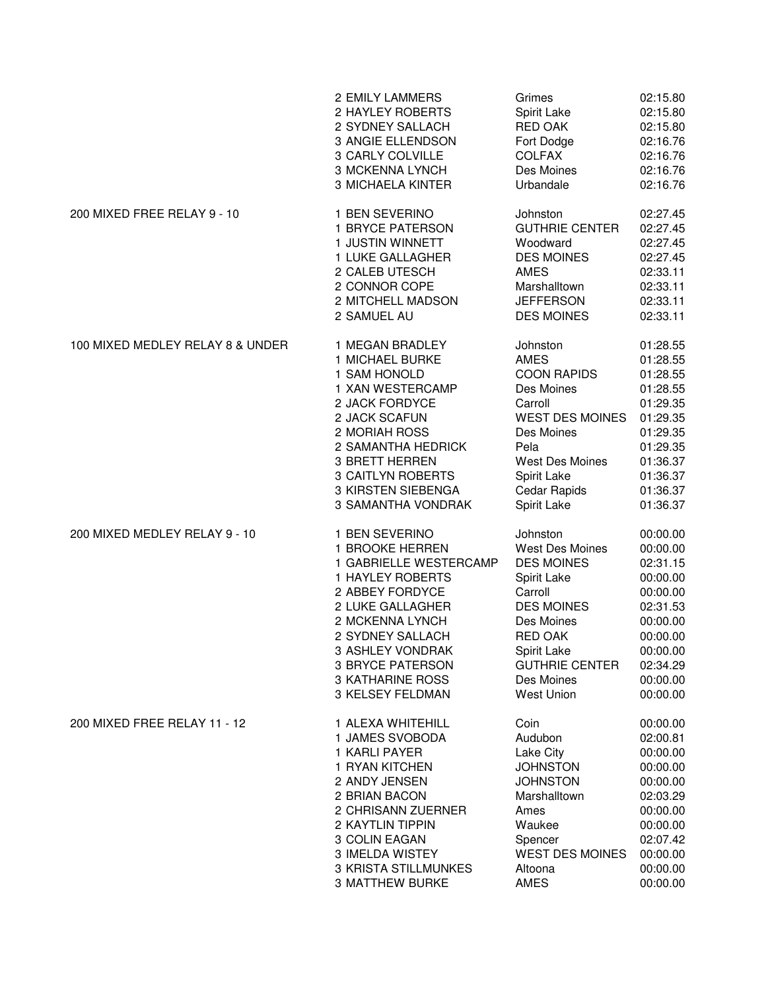|                                  | 2 EMILY LAMMERS             | Grimes                 | 02:15.80 |
|----------------------------------|-----------------------------|------------------------|----------|
|                                  | 2 HAYLEY ROBERTS            | Spirit Lake            | 02:15.80 |
|                                  | 2 SYDNEY SALLACH            | <b>RED OAK</b>         | 02:15.80 |
|                                  | 3 ANGIE ELLENDSON           | Fort Dodge             | 02:16.76 |
|                                  | 3 CARLY COLVILLE            | <b>COLFAX</b>          | 02:16.76 |
|                                  | 3 MCKENNA LYNCH             | Des Moines             | 02:16.76 |
|                                  | <b>3 MICHAELA KINTER</b>    | Urbandale              | 02:16.76 |
| 200 MIXED FREE RELAY 9 - 10      | 1 BEN SEVERINO              | Johnston               | 02:27.45 |
|                                  | 1 BRYCE PATERSON            | <b>GUTHRIE CENTER</b>  | 02:27.45 |
|                                  | 1 JUSTIN WINNETT            | Woodward               | 02:27.45 |
|                                  | 1 LUKE GALLAGHER            | <b>DES MOINES</b>      | 02:27.45 |
|                                  | 2 CALEB UTESCH              | <b>AMES</b>            | 02:33.11 |
|                                  | 2 CONNOR COPE               | Marshalltown           | 02:33.11 |
|                                  | 2 MITCHELL MADSON           | <b>JEFFERSON</b>       | 02:33.11 |
|                                  | 2 SAMUEL AU                 | <b>DES MOINES</b>      | 02:33.11 |
| 100 MIXED MEDLEY RELAY 8 & UNDER | 1 MEGAN BRADLEY             | Johnston               | 01:28.55 |
|                                  | 1 MICHAEL BURKE             | <b>AMES</b>            | 01:28.55 |
|                                  | 1 SAM HONOLD                | <b>COON RAPIDS</b>     | 01:28.55 |
|                                  | 1 XAN WESTERCAMP            | Des Moines             | 01:28.55 |
|                                  | 2 JACK FORDYCE              | Carroll                | 01:29.35 |
|                                  | 2 JACK SCAFUN               | <b>WEST DES MOINES</b> | 01:29.35 |
|                                  | 2 MORIAH ROSS               | Des Moines             | 01:29.35 |
|                                  | 2 SAMANTHA HEDRICK          | Pela                   | 01:29.35 |
|                                  | <b>3 BRETT HERREN</b>       | <b>West Des Moines</b> | 01:36.37 |
|                                  | <b>3 CAITLYN ROBERTS</b>    | Spirit Lake            | 01:36.37 |
|                                  | 3 KIRSTEN SIEBENGA          | Cedar Rapids           | 01:36.37 |
|                                  | 3 SAMANTHA VONDRAK          | Spirit Lake            | 01:36.37 |
| 200 MIXED MEDLEY RELAY 9 - 10    | 1 BEN SEVERINO              | Johnston               | 00:00.00 |
|                                  | 1 BROOKE HERREN             | <b>West Des Moines</b> | 00:00.00 |
|                                  | 1 GABRIELLE WESTERCAMP      | <b>DES MOINES</b>      | 02:31.15 |
|                                  | <b>1 HAYLEY ROBERTS</b>     | Spirit Lake            | 00:00.00 |
|                                  | 2 ABBEY FORDYCE             | Carroll                | 00:00.00 |
|                                  | 2 LUKE GALLAGHER            | <b>DES MOINES</b>      | 02:31.53 |
|                                  | 2 MCKENNA LYNCH             | Des Moines             | 00:00.00 |
|                                  | 2 SYDNEY SALLACH            | <b>RED OAK</b>         | 00:00.00 |
|                                  | 3 ASHLEY VONDRAK            | Spirit Lake            | 00:00.00 |
|                                  | 3 BRYCE PATERSON            | <b>GUTHRIE CENTER</b>  | 02:34.29 |
|                                  | <b>3 KATHARINE ROSS</b>     | Des Moines             | 00:00.00 |
|                                  | 3 KELSEY FELDMAN            | <b>West Union</b>      | 00:00.00 |
| 200 MIXED FREE RELAY 11 - 12     | 1 ALEXA WHITEHILL           | Coin                   | 00:00.00 |
|                                  | 1 JAMES SVOBODA             | Audubon                | 02:00.81 |
|                                  | 1 KARLI PAYER               | Lake City              | 00:00.00 |
|                                  | 1 RYAN KITCHEN              | <b>JOHNSTON</b>        | 00:00.00 |
|                                  | 2 ANDY JENSEN               | <b>JOHNSTON</b>        | 00:00.00 |
|                                  | 2 BRIAN BACON               | Marshalltown           | 02:03.29 |
|                                  | 2 CHRISANN ZUERNER          | Ames                   | 00:00.00 |
|                                  | 2 KAYTLIN TIPPIN            | Waukee                 | 00:00.00 |
|                                  | 3 COLIN EAGAN               | Spencer                | 02:07.42 |
|                                  | 3 IMELDA WISTEY             | <b>WEST DES MOINES</b> | 00:00.00 |
|                                  | <b>3 KRISTA STILLMUNKES</b> | Altoona                | 00:00.00 |
|                                  | <b>3 MATTHEW BURKE</b>      | <b>AMES</b>            | 00:00.00 |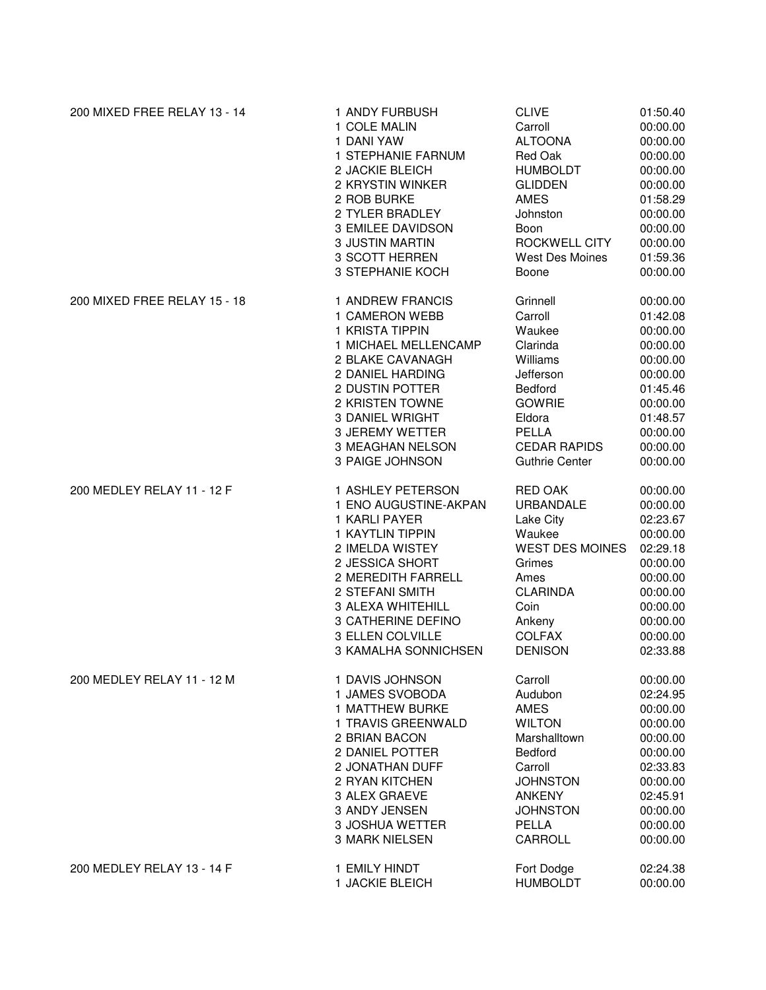| 200 MIXED FREE RELAY 13 - 14 | 1 ANDY FURBUSH         | <b>CLIVE</b>           | 01:50.40 |
|------------------------------|------------------------|------------------------|----------|
|                              | 1 COLE MALIN           | Carroll                | 00:00.00 |
|                              | 1 DANI YAW             | <b>ALTOONA</b>         | 00:00.00 |
|                              | 1 STEPHANIE FARNUM     | Red Oak                | 00:00.00 |
|                              | 2 JACKIE BLEICH        | <b>HUMBOLDT</b>        | 00:00.00 |
|                              | 2 KRYSTIN WINKER       | <b>GLIDDEN</b>         | 00:00.00 |
|                              | 2 ROB BURKE            | <b>AMES</b>            | 01:58.29 |
|                              | 2 TYLER BRADLEY        | Johnston               | 00:00.00 |
|                              | 3 EMILEE DAVIDSON      | Boon                   | 00:00.00 |
|                              | <b>3 JUSTIN MARTIN</b> | ROCKWELL CITY          | 00:00.00 |
|                              | 3 SCOTT HERREN         | <b>West Des Moines</b> | 01:59.36 |
|                              | 3 STEPHANIE KOCH       | Boone                  | 00:00.00 |
| 200 MIXED FREE RELAY 15 - 18 | 1 ANDREW FRANCIS       | Grinnell               | 00:00.00 |
|                              | 1 CAMERON WEBB         | Carroll                | 01:42.08 |
|                              | 1 KRISTA TIPPIN        | Waukee                 | 00:00.00 |
|                              | 1 MICHAEL MELLENCAMP   | Clarinda               | 00:00.00 |
|                              | 2 BLAKE CAVANAGH       | Williams               | 00:00.00 |
|                              | 2 DANIEL HARDING       | Jefferson              | 00:00.00 |
|                              | 2 DUSTIN POTTER        | Bedford                | 01:45.46 |
|                              | 2 KRISTEN TOWNE        | <b>GOWRIE</b>          | 00:00.00 |
|                              | <b>3 DANIEL WRIGHT</b> | Eldora                 | 01:48.57 |
|                              | 3 JEREMY WETTER        | PELLA                  | 00:00.00 |
|                              | 3 MEAGHAN NELSON       | <b>CEDAR RAPIDS</b>    | 00:00.00 |
|                              | 3 PAIGE JOHNSON        | <b>Guthrie Center</b>  | 00:00.00 |
| 200 MEDLEY RELAY 11 - 12 F   | 1 ASHLEY PETERSON      | <b>RED OAK</b>         | 00:00.00 |
|                              | 1 ENO AUGUSTINE-AKPAN  | <b>URBANDALE</b>       | 00:00.00 |
|                              | 1 KARLI PAYER          | Lake City              | 02:23.67 |
|                              | 1 KAYTLIN TIPPIN       | Waukee                 | 00:00.00 |
|                              | 2 IMELDA WISTEY        | <b>WEST DES MOINES</b> | 02:29.18 |
|                              | 2 JESSICA SHORT        | Grimes                 | 00:00.00 |
|                              | 2 MEREDITH FARRELL     | Ames                   | 00:00.00 |
|                              | 2 STEFANI SMITH        | <b>CLARINDA</b>        | 00:00.00 |
|                              | 3 ALEXA WHITEHILL      | Coin                   | 00:00.00 |
|                              | 3 CATHERINE DEFINO     | Ankeny                 | 00:00.00 |
|                              | 3 ELLEN COLVILLE       | <b>COLFAX</b>          | 00:00.00 |
|                              | 3 KAMALHA SONNICHSEN   | <b>DENISON</b>         | 02:33.88 |
| 200 MEDLEY RELAY 11 - 12 M   | 1 DAVIS JOHNSON        | Carroll                | 00:00.00 |
|                              | 1 JAMES SVOBODA        | Audubon                | 02:24.95 |
|                              | 1 MATTHEW BURKE        | <b>AMES</b>            | 00:00.00 |
|                              | 1 TRAVIS GREENWALD     | <b>WILTON</b>          | 00:00.00 |
|                              | 2 BRIAN BACON          | Marshalltown           | 00:00.00 |
|                              | 2 DANIEL POTTER        | Bedford                | 00:00.00 |
|                              | 2 JONATHAN DUFF        | Carroll                | 02:33.83 |
|                              | 2 RYAN KITCHEN         | <b>JOHNSTON</b>        | 00:00.00 |
|                              | 3 ALEX GRAEVE          | <b>ANKENY</b>          | 02:45.91 |
|                              | 3 ANDY JENSEN          | <b>JOHNSTON</b>        | 00:00.00 |
|                              | 3 JOSHUA WETTER        | PELLA                  | 00:00.00 |
|                              | <b>3 MARK NIELSEN</b>  | <b>CARROLL</b>         | 00:00.00 |
| 200 MEDLEY RELAY 13 - 14 F   | 1 EMILY HINDT          | Fort Dodge             | 02:24.38 |
|                              | 1 JACKIE BLEICH        | <b>HUMBOLDT</b>        | 00:00.00 |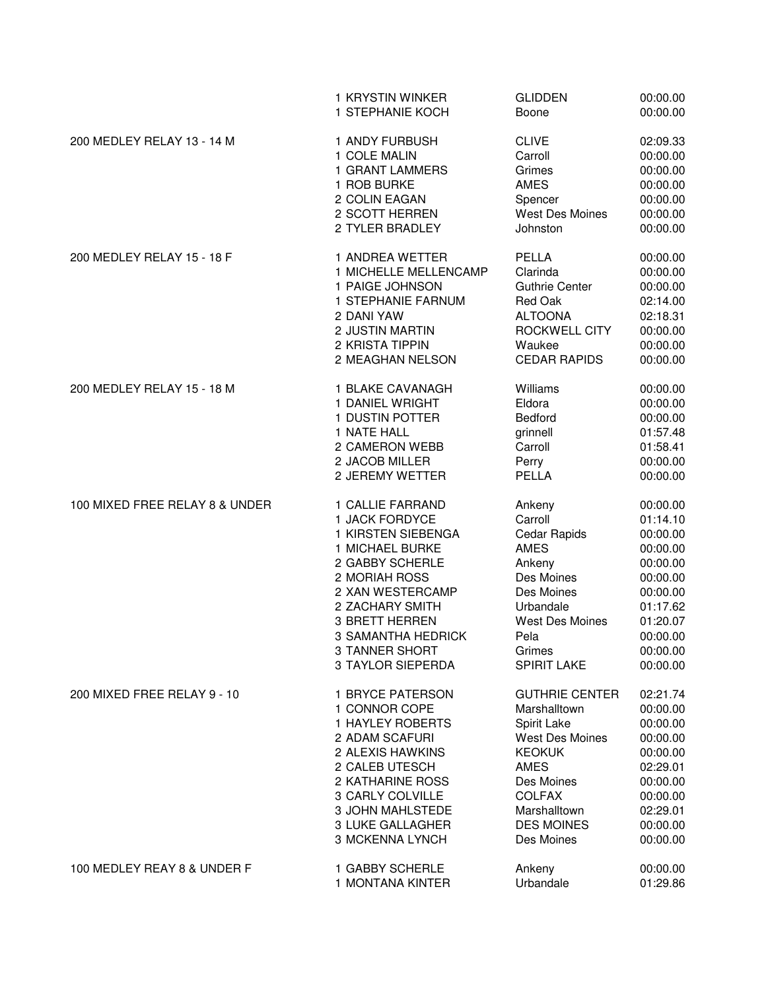|                                | 1 KRYSTIN WINKER          | <b>GLIDDEN</b>         | 00:00.00 |
|--------------------------------|---------------------------|------------------------|----------|
|                                | 1 STEPHANIE KOCH          | Boone                  | 00:00.00 |
| 200 MEDLEY RELAY 13 - 14 M     | 1 ANDY FURBUSH            | <b>CLIVE</b>           | 02:09.33 |
|                                | 1 COLE MALIN              | Carroll                | 00:00.00 |
|                                | 1 GRANT LAMMERS           | Grimes                 | 00:00.00 |
|                                | 1 ROB BURKE               | <b>AMES</b>            | 00:00.00 |
|                                | 2 COLIN EAGAN             | Spencer                | 00:00.00 |
|                                | 2 SCOTT HERREN            | West Des Moines        | 00:00.00 |
|                                | 2 TYLER BRADLEY           | Johnston               | 00:00.00 |
| 200 MEDLEY RELAY 15 - 18 F     | 1 ANDREA WETTER           | PELLA                  | 00:00.00 |
|                                | 1 MICHELLE MELLENCAMP     | Clarinda               | 00:00.00 |
|                                | 1 PAIGE JOHNSON           | <b>Guthrie Center</b>  | 00:00.00 |
|                                | 1 STEPHANIE FARNUM        | Red Oak                | 02:14.00 |
|                                | 2 DANI YAW                | <b>ALTOONA</b>         | 02:18.31 |
|                                | 2 JUSTIN MARTIN           | ROCKWELL CITY          | 00:00.00 |
|                                | 2 KRISTA TIPPIN           | Waukee                 | 00:00.00 |
|                                | 2 MEAGHAN NELSON          | <b>CEDAR RAPIDS</b>    | 00:00.00 |
| 200 MEDLEY RELAY 15 - 18 M     | 1 BLAKE CAVANAGH          | Williams               | 00:00.00 |
|                                | 1 DANIEL WRIGHT           | Eldora                 | 00:00.00 |
|                                | 1 DUSTIN POTTER           | <b>Bedford</b>         | 00:00.00 |
|                                | 1 NATE HALL               | grinnell               | 01:57.48 |
|                                | 2 CAMERON WEBB            | Carroll                | 01:58.41 |
|                                | 2 JACOB MILLER            | Perry                  | 00:00.00 |
|                                | 2 JEREMY WETTER           | PELLA                  | 00:00.00 |
| 100 MIXED FREE RELAY 8 & UNDER | 1 CALLIE FARRAND          | Ankeny                 | 00:00.00 |
|                                | 1 JACK FORDYCE            | Carroll                | 01:14.10 |
|                                | 1 KIRSTEN SIEBENGA        | Cedar Rapids           | 00:00.00 |
|                                | 1 MICHAEL BURKE           | <b>AMES</b>            | 00:00.00 |
|                                | 2 GABBY SCHERLE           | Ankeny                 | 00:00.00 |
|                                | 2 MORIAH ROSS             | Des Moines             | 00:00.00 |
|                                | 2 XAN WESTERCAMP          | Des Moines             | 00:00.00 |
|                                | 2 ZACHARY SMITH           | Urbandale              | 01:17.62 |
|                                | 3 BRETT HERREN            | <b>West Des Moines</b> | 01:20.07 |
|                                | <b>3 SAMANTHA HEDRICK</b> | Pela                   | 00:00.00 |
|                                | 3 TANNER SHORT            | Grimes                 | 00:00.00 |
|                                | <b>3 TAYLOR SIEPERDA</b>  | SPIRIT LAKE            | 00:00.00 |
| 200 MIXED FREE RELAY 9 - 10    | 1 BRYCE PATERSON          | <b>GUTHRIE CENTER</b>  | 02:21.74 |
|                                | 1 CONNOR COPE             | Marshalltown           | 00:00.00 |
|                                | 1 HAYLEY ROBERTS          | Spirit Lake            | 00:00.00 |
|                                | 2 ADAM SCAFURI            | <b>West Des Moines</b> | 00:00.00 |
|                                | 2 ALEXIS HAWKINS          | <b>KEOKUK</b>          | 00:00.00 |
|                                | 2 CALEB UTESCH            | <b>AMES</b>            | 02:29.01 |
|                                | 2 KATHARINE ROSS          | Des Moines             | 00:00.00 |
|                                | 3 CARLY COLVILLE          | <b>COLFAX</b>          | 00:00.00 |
|                                | 3 JOHN MAHLSTEDE          | Marshalltown           | 02:29.01 |
|                                | <b>3 LUKE GALLAGHER</b>   | <b>DES MOINES</b>      | 00:00.00 |
|                                | 3 MCKENNA LYNCH           | Des Moines             | 00:00.00 |
| 100 MEDLEY REAY 8 & UNDER F    | 1 GABBY SCHERLE           | Ankeny                 | 00:00.00 |
|                                | 1 MONTANA KINTER          | Urbandale              | 01:29.86 |